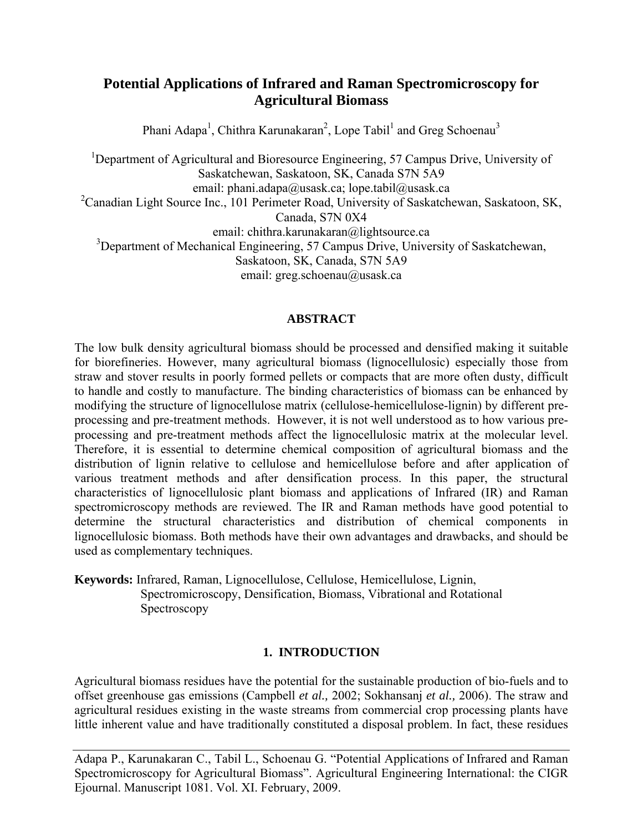# **Potential Applications of Infrared and Raman Spectromicroscopy for Agricultural Biomass**

Phani Adapa<sup>1</sup>, Chithra Karunakaran<sup>2</sup>, Lope Tabil<sup>1</sup> and Greg Schoenau<sup>3</sup>

<sup>1</sup>Department of Agricultural and Bioresource Engineering, 57 Campus Drive, University of Saskatchewan, Saskatoon, SK, Canada S7N 5A9 email: phani.adapa@usask.ca; lope.tabil@usask.ca <sup>2</sup>Canadian Light Source Inc., 101 Perimeter Road, University of Saskatchewan, Saskatoon, SK, Canada, S7N 0X4 email: chithra.karunakaran@lightsource.ca <sup>3</sup>Department of Mechanical Engineering, 57 Campus Drive, University of Saskatchewan, Saskatoon, SK, Canada, S7N 5A9 email: greg.schoenau@usask.ca

## **ABSTRACT**

The low bulk density agricultural biomass should be processed and densified making it suitable for biorefineries. However, many agricultural biomass (lignocellulosic) especially those from straw and stover results in poorly formed pellets or compacts that are more often dusty, difficult to handle and costly to manufacture. The binding characteristics of biomass can be enhanced by modifying the structure of lignocellulose matrix (cellulose-hemicellulose-lignin) by different preprocessing and pre-treatment methods. However, it is not well understood as to how various preprocessing and pre-treatment methods affect the lignocellulosic matrix at the molecular level. Therefore, it is essential to determine chemical composition of agricultural biomass and the distribution of lignin relative to cellulose and hemicellulose before and after application of various treatment methods and after densification process. In this paper, the structural characteristics of lignocellulosic plant biomass and applications of Infrared (IR) and Raman spectromicroscopy methods are reviewed. The IR and Raman methods have good potential to determine the structural characteristics and distribution of chemical components in lignocellulosic biomass. Both methods have their own advantages and drawbacks, and should be used as complementary techniques.

**Keywords:** Infrared, Raman, Lignocellulose, Cellulose, Hemicellulose, Lignin, Spectromicroscopy, Densification, Biomass, Vibrational and Rotational Spectroscopy

# **1. INTRODUCTION**

Agricultural biomass residues have the potential for the sustainable production of bio-fuels and to offset greenhouse gas emissions (Campbell *et al.,* 2002; Sokhansanj *et al.,* 2006). The straw and agricultural residues existing in the waste streams from commercial crop processing plants have little inherent value and have traditionally constituted a disposal problem. In fact, these residues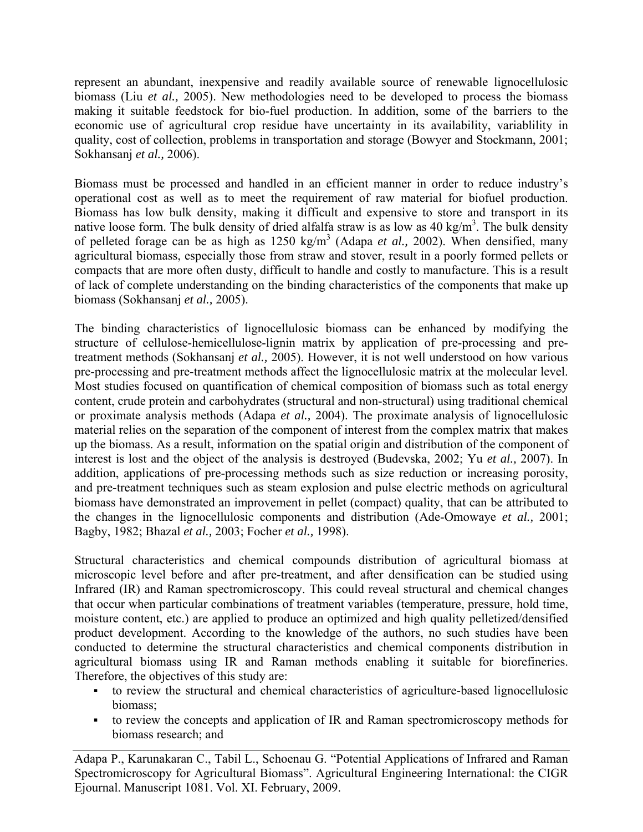represent an abundant, inexpensive and readily available source of renewable lignocellulosic biomass (Liu *et al.,* 2005). New methodologies need to be developed to process the biomass making it suitable feedstock for bio-fuel production. In addition, some of the barriers to the economic use of agricultural crop residue have uncertainty in its availability, variablility in quality, cost of collection, problems in transportation and storage (Bowyer and Stockmann, 2001; Sokhansanj *et al.,* 2006).

Biomass must be processed and handled in an efficient manner in order to reduce industry's operational cost as well as to meet the requirement of raw material for biofuel production. Biomass has low bulk density, making it difficult and expensive to store and transport in its native loose form. The bulk density of dried alfalfa straw is as low as  $40 \text{ kg/m}^3$ . The bulk density of pelleted forage can be as high as  $1250 \text{ kg/m}^3$  (Adapa *et al.*, 2002). When densified, many agricultural biomass, especially those from straw and stover, result in a poorly formed pellets or compacts that are more often dusty, difficult to handle and costly to manufacture. This is a result of lack of complete understanding on the binding characteristics of the components that make up biomass (Sokhansanj *et al.,* 2005).

The binding characteristics of lignocellulosic biomass can be enhanced by modifying the structure of cellulose-hemicellulose-lignin matrix by application of pre-processing and pretreatment methods (Sokhansanj *et al.,* 2005). However, it is not well understood on how various pre-processing and pre-treatment methods affect the lignocellulosic matrix at the molecular level. Most studies focused on quantification of chemical composition of biomass such as total energy content, crude protein and carbohydrates (structural and non-structural) using traditional chemical or proximate analysis methods (Adapa *et al.,* 2004). The proximate analysis of lignocellulosic material relies on the separation of the component of interest from the complex matrix that makes up the biomass. As a result, information on the spatial origin and distribution of the component of interest is lost and the object of the analysis is destroyed (Budevska, 2002; Yu *et al.,* 2007). In addition, applications of pre-processing methods such as size reduction or increasing porosity, and pre-treatment techniques such as steam explosion and pulse electric methods on agricultural biomass have demonstrated an improvement in pellet (compact) quality, that can be attributed to the changes in the lignocellulosic components and distribution (Ade-Omowaye *et al.,* 2001; Bagby, 1982; Bhazal *et al.,* 2003; Focher *et al.,* 1998).

Structural characteristics and chemical compounds distribution of agricultural biomass at microscopic level before and after pre-treatment, and after densification can be studied using Infrared (IR) and Raman spectromicroscopy. This could reveal structural and chemical changes that occur when particular combinations of treatment variables (temperature, pressure, hold time, moisture content, etc.) are applied to produce an optimized and high quality pelletized/densified product development. According to the knowledge of the authors, no such studies have been conducted to determine the structural characteristics and chemical components distribution in agricultural biomass using IR and Raman methods enabling it suitable for biorefineries. Therefore, the objectives of this study are:

- to review the structural and chemical characteristics of agriculture-based lignocellulosic biomass;
- to review the concepts and application of IR and Raman spectromicroscopy methods for biomass research; and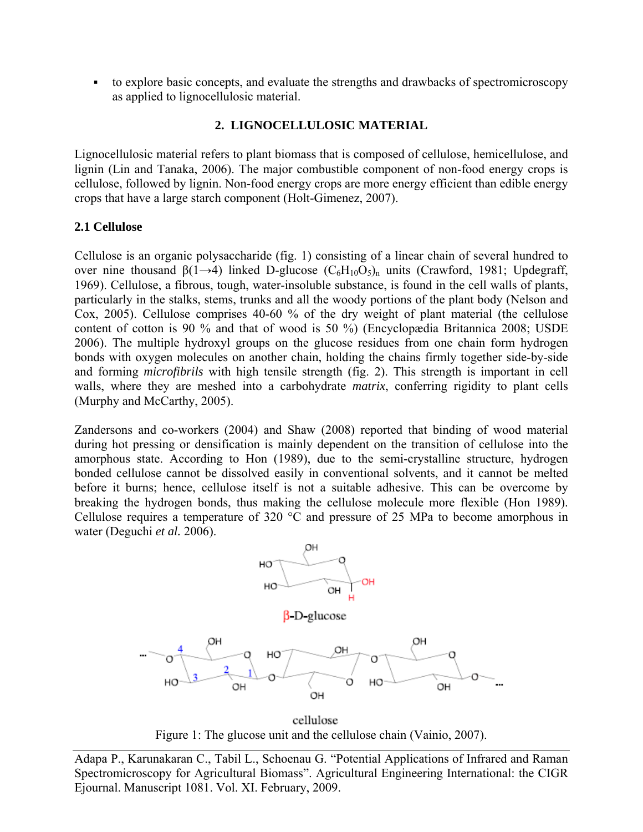to explore basic concepts, and evaluate the strengths and drawbacks of spectromicroscopy as applied to lignocellulosic material.

# **2. LIGNOCELLULOSIC MATERIAL**

Lignocellulosic material refers to plant biomass that is composed of cellulose, hemicellulose, and lignin (Lin and Tanaka, 2006). The major combustible component of non-food energy crops is cellulose, followed by lignin. Non-food energy crops are more energy efficient than edible energy crops that have a large starch component (Holt-Gimenez, 2007).

# **2.1 Cellulose**

Cellulose is an organic polysaccharide (fig. 1) consisting of a linear chain of several hundred to over nine thousand  $\beta(1\rightarrow 4)$  linked D-glucose  $(C_6H_{10}O_5)_n$  units (Crawford, 1981; Updegraff, 1969). Cellulose, a fibrous, tough, water-insoluble substance, is found in the cell walls of plants, particularly in the stalks, stems, trunks and all the woody portions of the plant body (Nelson and Cox, 2005). Cellulose comprises 40-60 % of the dry weight of plant material (the cellulose content of cotton is 90 % and that of wood is 50 %) (Encyclopædia Britannica 2008; USDE 2006). The multiple hydroxyl groups on the glucose residues from one chain form hydrogen bonds with oxygen molecules on another chain, holding the chains firmly together side-by-side and forming *microfibrils* with high tensile strength (fig. 2). This strength is important in cell walls, where they are meshed into a carbohydrate *matrix*, conferring rigidity to plant cells (Murphy and McCarthy, 2005).

Zandersons and co-workers (2004) and Shaw (2008) reported that binding of wood material during hot pressing or densification is mainly dependent on the transition of cellulose into the amorphous state. According to Hon (1989), due to the semi-crystalline structure, hydrogen bonded cellulose cannot be dissolved easily in conventional solvents, and it cannot be melted before it burns; hence, cellulose itself is not a suitable adhesive. This can be overcome by breaking the hydrogen bonds, thus making the cellulose molecule more flexible (Hon 1989). Cellulose requires a temperature of 320 °C and pressure of 25 MPa to become amorphous in water (Deguchi *et al.* 2006).



cellulose Figure 1: The glucose unit and the cellulose chain (Vainio, 2007).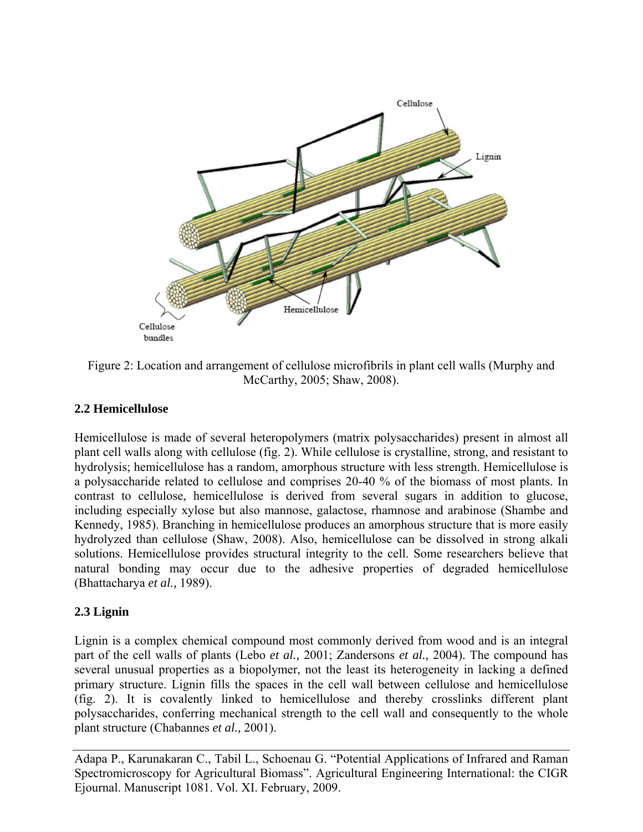

Figure 2: Location and arrangement of cellulose microfibrils in plant cell walls (Murphy and McCarthy, 2005; Shaw, 2008).

## **2.2 Hemicellulose**

Hemicellulose is made of several heteropolymers (matrix polysaccharides) present in almost all plant cell walls along with cellulose (fig. 2). While cellulose is crystalline, strong, and resistant to hydrolysis; hemicellulose has a random, amorphous structure with less strength. Hemicellulose is a polysaccharide related to cellulose and comprises 20-40 % of the biomass of most plants. In contrast to cellulose, hemicellulose is derived from several sugars in addition to glucose, including especially xylose but also mannose, galactose, rhamnose and arabinose (Shambe and Kennedy, 1985). Branching in hemicellulose produces an amorphous structure that is more easily hydrolyzed than cellulose (Shaw, 2008). Also, hemicellulose can be dissolved in strong alkali solutions. Hemicellulose provides structural integrity to the cell. Some researchers believe that natural bonding may occur due to the adhesive properties of degraded hemicellulose (Bhattacharya *et al.,* 1989).

# **2.3 Lignin**

Lignin is a complex chemical compound most commonly derived from wood and is an integral part of the cell walls of plants (Lebo *et al.,* 2001; Zandersons *et al.,* 2004). The compound has several unusual properties as a biopolymer, not the least its heterogeneity in lacking a defined primary structure. Lignin fills the spaces in the cell wall between cellulose and hemicellulose (fig. 2). It is covalently linked to hemicellulose and thereby crosslinks different plant polysaccharides, conferring mechanical strength to the cell wall and consequently to the whole plant structure (Chabannes *et al.,* 2001).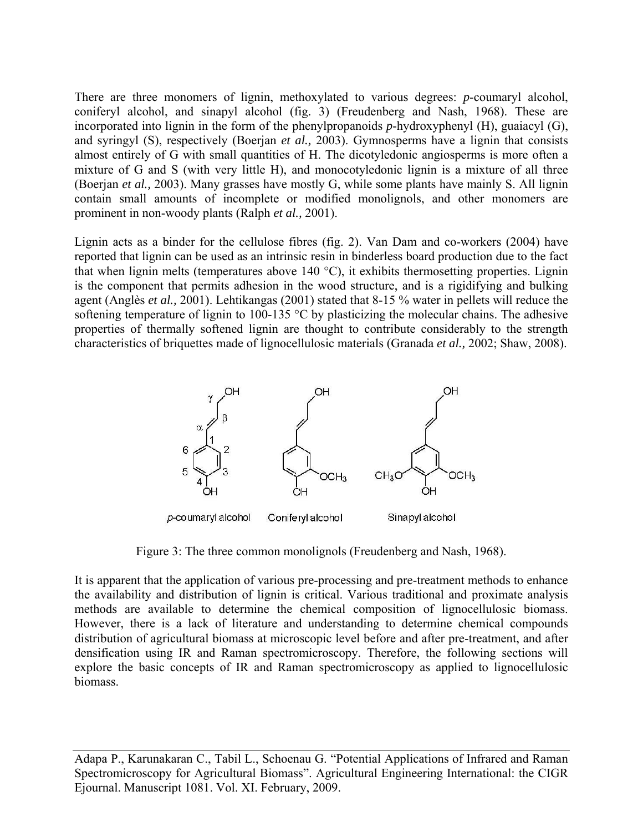There are three monomers of lignin, methoxylated to various degrees: *p*-coumaryl alcohol, coniferyl alcohol, and sinapyl alcohol (fig. 3) (Freudenberg and Nash, 1968). These are incorporated into lignin in the form of the phenylpropanoids *p*-hydroxyphenyl (H), guaiacyl (G), and syringyl (S), respectively (Boerjan *et al.,* 2003). Gymnosperms have a lignin that consists almost entirely of G with small quantities of H. The dicotyledonic angiosperms is more often a mixture of G and S (with very little H), and monocotyledonic lignin is a mixture of all three (Boerjan *et al.,* 2003). Many grasses have mostly G, while some plants have mainly S. All lignin contain small amounts of incomplete or modified monolignols, and other monomers are prominent in non-woody plants (Ralph *et al.,* 2001).

Lignin acts as a binder for the cellulose fibres (fig. 2). Van Dam and co-workers (2004) have reported that lignin can be used as an intrinsic resin in binderless board production due to the fact that when lignin melts (temperatures above 140 °C), it exhibits thermosetting properties. Lignin is the component that permits adhesion in the wood structure, and is a rigidifying and bulking agent (Anglès *et al.,* 2001). Lehtikangas (2001) stated that 8-15 % water in pellets will reduce the softening temperature of lignin to 100-135 °C by plasticizing the molecular chains. The adhesive properties of thermally softened lignin are thought to contribute considerably to the strength characteristics of briquettes made of lignocellulosic materials (Granada *et al.,* 2002; Shaw, 2008).



Figure 3: The three common monolignols (Freudenberg and Nash, 1968).

It is apparent that the application of various pre-processing and pre-treatment methods to enhance the availability and distribution of lignin is critical. Various traditional and proximate analysis methods are available to determine the chemical composition of lignocellulosic biomass. However, there is a lack of literature and understanding to determine chemical compounds distribution of agricultural biomass at microscopic level before and after pre-treatment, and after densification using IR and Raman spectromicroscopy. Therefore, the following sections will explore the basic concepts of IR and Raman spectromicroscopy as applied to lignocellulosic biomass.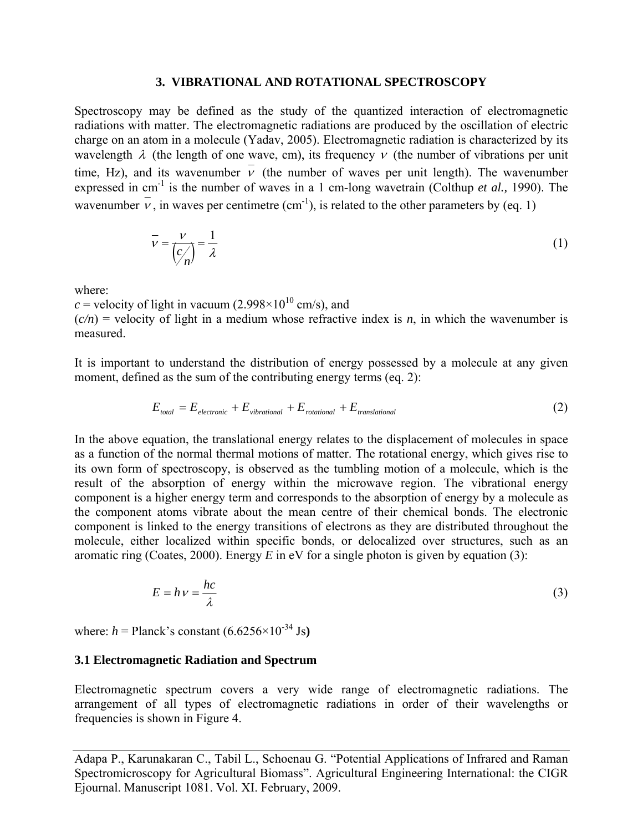#### **3. VIBRATIONAL AND ROTATIONAL SPECTROSCOPY**

Spectroscopy may be defined as the study of the quantized interaction of electromagnetic radiations with matter. The electromagnetic radiations are produced by the oscillation of electric charge on an atom in a molecule (Yadav, 2005). Electromagnetic radiation is characterized by its wavelength  $\lambda$  (the length of one wave, cm), its frequency  $\nu$  (the number of vibrations per unit time, Hz), and its wavenumber  $\overline{v}$  (the number of waves per unit length). The wavenumber expressed in cm<sup>-1</sup> is the number of waves in a 1 cm-long wavetrain (Colthup *et al.*, 1990). The wavenumber  $\overline{v}$ , in waves per centimetre (cm<sup>-1</sup>), is related to the other parameters by (eq. 1)

$$
\overline{v} = \frac{v}{(c'_n)} = \frac{1}{\lambda}
$$
 (1)

where:

*c* = velocity of light in vacuum (2.998 $\times$ 10<sup>10</sup> cm/s), and

 $(c/n)$  = velocity of light in a medium whose refractive index is *n*, in which the wavenumber is measured.

It is important to understand the distribution of energy possessed by a molecule at any given moment, defined as the sum of the contributing energy terms (eq. 2):

$$
E_{total} = E_{electronic} + E_{vibrational} + E_{rotational} + E_{translational}
$$
 (2)

In the above equation, the translational energy relates to the displacement of molecules in space as a function of the normal thermal motions of matter. The rotational energy, which gives rise to its own form of spectroscopy, is observed as the tumbling motion of a molecule, which is the result of the absorption of energy within the microwave region. The vibrational energy component is a higher energy term and corresponds to the absorption of energy by a molecule as the component atoms vibrate about the mean centre of their chemical bonds. The electronic component is linked to the energy transitions of electrons as they are distributed throughout the molecule, either localized within specific bonds, or delocalized over structures, such as an aromatic ring (Coates, 2000). Energy *E* in eV for a single photon is given by equation (3):

$$
E = h v = \frac{hc}{\lambda} \tag{3}
$$

where:  $h =$ Planck's constant  $(6.6256 \times 10^{-34} \text{ Js})$ 

#### **3.1 Electromagnetic Radiation and Spectrum**

Electromagnetic spectrum covers a very wide range of electromagnetic radiations. The arrangement of all types of electromagnetic radiations in order of their wavelengths or frequencies is shown in Figure 4.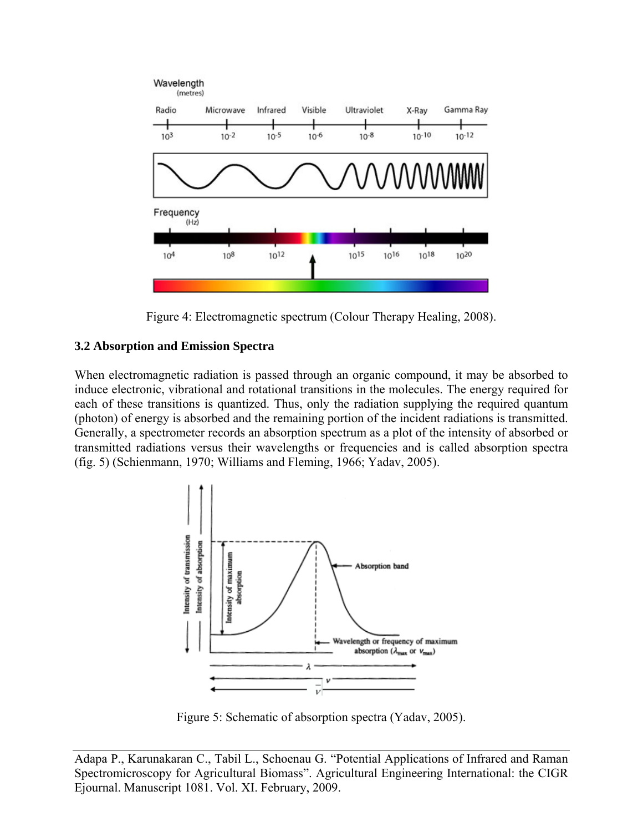

Figure 4: Electromagnetic spectrum (Colour Therapy Healing, 2008).

# **3.2 Absorption and Emission Spectra**

When electromagnetic radiation is passed through an organic compound, it may be absorbed to induce electronic, vibrational and rotational transitions in the molecules. The energy required for each of these transitions is quantized. Thus, only the radiation supplying the required quantum (photon) of energy is absorbed and the remaining portion of the incident radiations is transmitted. Generally, a spectrometer records an absorption spectrum as a plot of the intensity of absorbed or transmitted radiations versus their wavelengths or frequencies and is called absorption spectra (fig. 5) (Schienmann, 1970; Williams and Fleming, 1966; Yadav, 2005).



Figure 5: Schematic of absorption spectra (Yadav, 2005).

Adapa P., Karunakaran C., Tabil L., Schoenau G. "Potential Applications of Infrared and Raman Spectromicroscopy for Agricultural Biomass". Agricultural Engineering International: the CIGR Ejournal. Manuscript 1081. Vol. XI. February, 2009.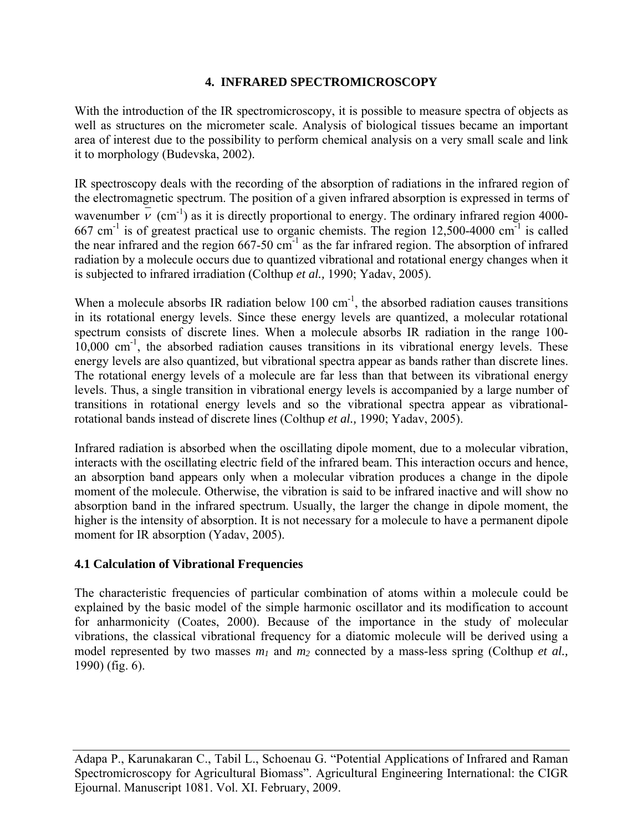# **4. INFRARED SPECTROMICROSCOPY**

With the introduction of the IR spectromicroscopy, it is possible to measure spectra of objects as well as structures on the micrometer scale. Analysis of biological tissues became an important area of interest due to the possibility to perform chemical analysis on a very small scale and link it to morphology (Budevska, 2002).

IR spectroscopy deals with the recording of the absorption of radiations in the infrared region of the electromagnetic spectrum. The position of a given infrared absorption is expressed in terms of wavenumber  $\bar{v}$  (cm<sup>-1</sup>) as it is directly proportional to energy. The ordinary infrared region 4000-667 cm<sup>-1</sup> is of greatest practical use to organic chemists. The region  $12,500-4000$  cm<sup>-1</sup> is called the near infrared and the region  $667-50$  cm<sup>-1</sup> as the far infrared region. The absorption of infrared radiation by a molecule occurs due to quantized vibrational and rotational energy changes when it is subjected to infrared irradiation (Colthup *et al.,* 1990; Yadav, 2005).

When a molecule absorbs IR radiation below  $100 \text{ cm}^{-1}$ , the absorbed radiation causes transitions in its rotational energy levels. Since these energy levels are quantized, a molecular rotational spectrum consists of discrete lines. When a molecule absorbs IR radiation in the range 100-  $10,000$  cm<sup>-1</sup>, the absorbed radiation causes transitions in its vibrational energy levels. These energy levels are also quantized, but vibrational spectra appear as bands rather than discrete lines. The rotational energy levels of a molecule are far less than that between its vibrational energy levels. Thus, a single transition in vibrational energy levels is accompanied by a large number of transitions in rotational energy levels and so the vibrational spectra appear as vibrationalrotational bands instead of discrete lines (Colthup *et al.,* 1990; Yadav, 2005).

Infrared radiation is absorbed when the oscillating dipole moment, due to a molecular vibration, interacts with the oscillating electric field of the infrared beam. This interaction occurs and hence, an absorption band appears only when a molecular vibration produces a change in the dipole moment of the molecule. Otherwise, the vibration is said to be infrared inactive and will show no absorption band in the infrared spectrum. Usually, the larger the change in dipole moment, the higher is the intensity of absorption. It is not necessary for a molecule to have a permanent dipole moment for IR absorption (Yadav, 2005).

# **4.1 Calculation of Vibrational Frequencies**

The characteristic frequencies of particular combination of atoms within a molecule could be explained by the basic model of the simple harmonic oscillator and its modification to account for anharmonicity (Coates, 2000). Because of the importance in the study of molecular vibrations, the classical vibrational frequency for a diatomic molecule will be derived using a model represented by two masses  $m_1$  and  $m_2$  connected by a mass-less spring (Colthup *et al.,* 1990) (fig. 6).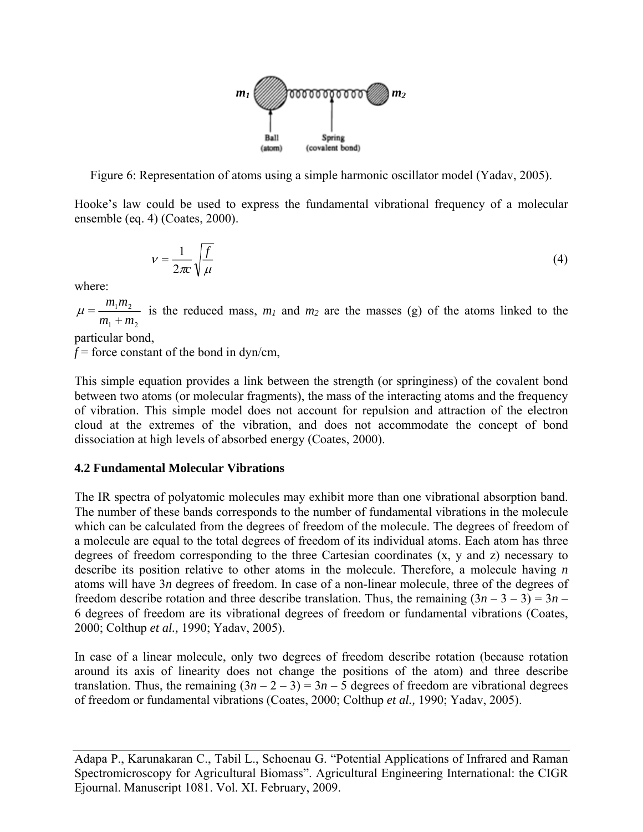

Figure 6: Representation of atoms using a simple harmonic oscillator model (Yadav, 2005).

Hooke's law could be used to express the fundamental vibrational frequency of a molecular ensemble (eq. 4) (Coates, 2000).

$$
v = \frac{1}{2\pi c} \sqrt{\frac{f}{\mu}}
$$
 (4)

where:

 $1 + m_2$  $1''$ <sup>2</sup>  $m_1 + m$  $m_1m$ +  $\mu = \frac{m_1 m_2}{m_1 m_2}$  is the reduced mass,  $m_1$  and  $m_2$  are the masses (g) of the atoms linked to the

particular bond,

 $f =$  force constant of the bond in dyn/cm,

This simple equation provides a link between the strength (or springiness) of the covalent bond between two atoms (or molecular fragments), the mass of the interacting atoms and the frequency of vibration. This simple model does not account for repulsion and attraction of the electron cloud at the extremes of the vibration, and does not accommodate the concept of bond dissociation at high levels of absorbed energy (Coates, 2000).

#### **4.2 Fundamental Molecular Vibrations**

The IR spectra of polyatomic molecules may exhibit more than one vibrational absorption band. The number of these bands corresponds to the number of fundamental vibrations in the molecule which can be calculated from the degrees of freedom of the molecule. The degrees of freedom of a molecule are equal to the total degrees of freedom of its individual atoms. Each atom has three degrees of freedom corresponding to the three Cartesian coordinates (x, y and z) necessary to describe its position relative to other atoms in the molecule. Therefore, a molecule having *n* atoms will have 3*n* degrees of freedom. In case of a non-linear molecule, three of the degrees of freedom describe rotation and three describe translation. Thus, the remaining  $(3n - 3 - 3) = 3n -$ 6 degrees of freedom are its vibrational degrees of freedom or fundamental vibrations (Coates, 2000; Colthup *et al.,* 1990; Yadav, 2005).

In case of a linear molecule, only two degrees of freedom describe rotation (because rotation around its axis of linearity does not change the positions of the atom) and three describe translation. Thus, the remaining  $(3n - 2 - 3) = 3n - 5$  degrees of freedom are vibrational degrees of freedom or fundamental vibrations (Coates, 2000; Colthup *et al.,* 1990; Yadav, 2005).

Adapa P., Karunakaran C., Tabil L., Schoenau G. "Potential Applications of Infrared and Raman Spectromicroscopy for Agricultural Biomass". Agricultural Engineering International: the CIGR Ejournal. Manuscript 1081. Vol. XI. February, 2009.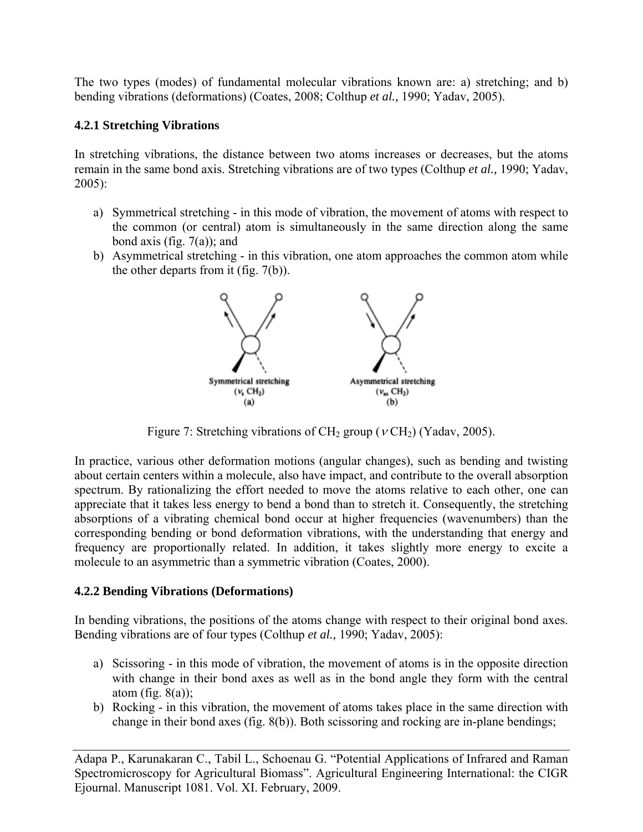The two types (modes) of fundamental molecular vibrations known are: a) stretching; and b) bending vibrations (deformations) (Coates, 2008; Colthup *et al.,* 1990; Yadav, 2005).

# **4.2.1 Stretching Vibrations**

In stretching vibrations, the distance between two atoms increases or decreases, but the atoms remain in the same bond axis. Stretching vibrations are of two types (Colthup *et al.,* 1990; Yadav, 2005):

- a) Symmetrical stretching in this mode of vibration, the movement of atoms with respect to the common (or central) atom is simultaneously in the same direction along the same bond axis (fig.  $7(a)$ ); and
- b) Asymmetrical stretching in this vibration, one atom approaches the common atom while the other departs from it (fig. 7(b)).



Figure 7: Stretching vibrations of  $CH_2$  group ( $v CH_2$ ) (Yadav, 2005).

In practice, various other deformation motions (angular changes), such as bending and twisting about certain centers within a molecule, also have impact, and contribute to the overall absorption spectrum. By rationalizing the effort needed to move the atoms relative to each other, one can appreciate that it takes less energy to bend a bond than to stretch it. Consequently, the stretching absorptions of a vibrating chemical bond occur at higher frequencies (wavenumbers) than the corresponding bending or bond deformation vibrations, with the understanding that energy and frequency are proportionally related. In addition, it takes slightly more energy to excite a molecule to an asymmetric than a symmetric vibration (Coates, 2000).

# **4.2.2 Bending Vibrations (Deformations)**

In bending vibrations, the positions of the atoms change with respect to their original bond axes. Bending vibrations are of four types (Colthup *et al.,* 1990; Yadav, 2005):

- a) Scissoring in this mode of vibration, the movement of atoms is in the opposite direction with change in their bond axes as well as in the bond angle they form with the central atom (fig.  $8(a)$ );
- b) Rocking in this vibration, the movement of atoms takes place in the same direction with change in their bond axes (fig. 8(b)). Both scissoring and rocking are in-plane bendings;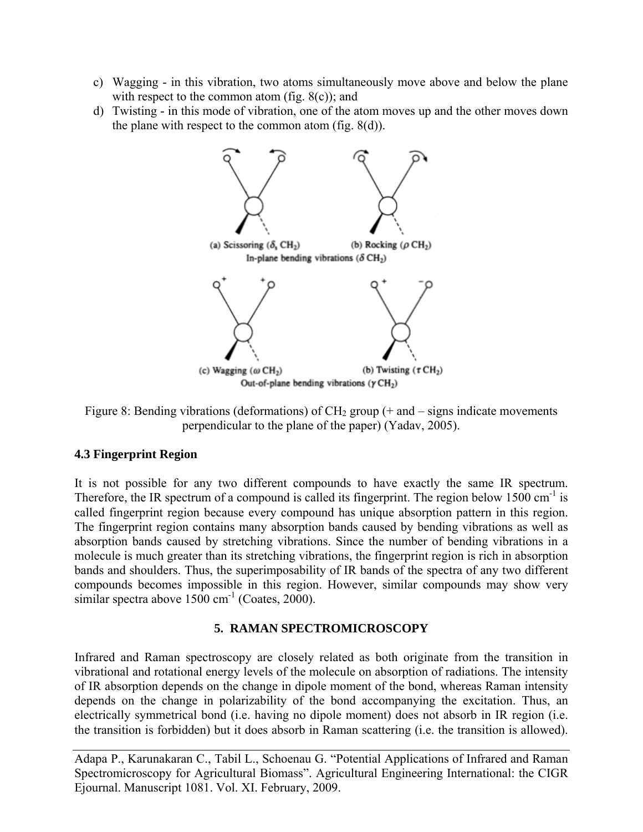- c) Wagging in this vibration, two atoms simultaneously move above and below the plane with respect to the common atom (fig.  $8(c)$ ); and
- d) Twisting in this mode of vibration, one of the atom moves up and the other moves down the plane with respect to the common atom (fig. 8(d)).



Figure 8: Bending vibrations (deformations) of  $CH_2$  group (+ and – signs indicate movements perpendicular to the plane of the paper) (Yadav, 2005).

# **4.3 Fingerprint Region**

It is not possible for any two different compounds to have exactly the same IR spectrum. Therefore, the IR spectrum of a compound is called its fingerprint. The region below 1500 cm<sup>-1</sup> is called fingerprint region because every compound has unique absorption pattern in this region. The fingerprint region contains many absorption bands caused by bending vibrations as well as absorption bands caused by stretching vibrations. Since the number of bending vibrations in a molecule is much greater than its stretching vibrations, the fingerprint region is rich in absorption bands and shoulders. Thus, the superimposability of IR bands of the spectra of any two different compounds becomes impossible in this region. However, similar compounds may show very similar spectra above  $1500 \text{ cm}^{-1}$  (Coates, 2000).

# **5. RAMAN SPECTROMICROSCOPY**

Infrared and Raman spectroscopy are closely related as both originate from the transition in vibrational and rotational energy levels of the molecule on absorption of radiations. The intensity of IR absorption depends on the change in dipole moment of the bond, whereas Raman intensity depends on the change in polarizability of the bond accompanying the excitation. Thus, an electrically symmetrical bond (i.e. having no dipole moment) does not absorb in IR region (i.e. the transition is forbidden) but it does absorb in Raman scattering (i.e. the transition is allowed).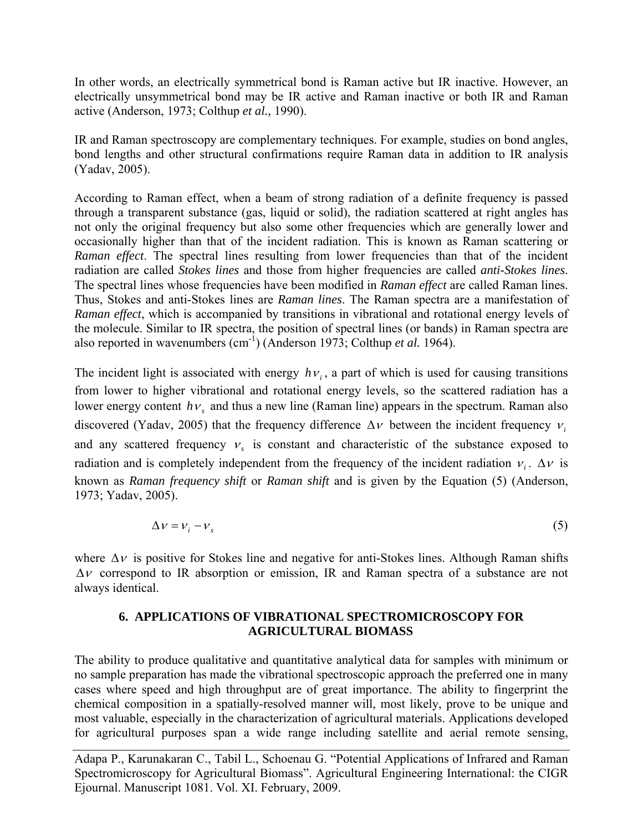In other words, an electrically symmetrical bond is Raman active but IR inactive. However, an electrically unsymmetrical bond may be IR active and Raman inactive or both IR and Raman active (Anderson, 1973; Colthup *et al.,* 1990).

IR and Raman spectroscopy are complementary techniques. For example, studies on bond angles, bond lengths and other structural confirmations require Raman data in addition to IR analysis (Yadav, 2005).

According to Raman effect, when a beam of strong radiation of a definite frequency is passed through a transparent substance (gas, liquid or solid), the radiation scattered at right angles has not only the original frequency but also some other frequencies which are generally lower and occasionally higher than that of the incident radiation. This is known as Raman scattering or *Raman effect*. The spectral lines resulting from lower frequencies than that of the incident radiation are called *Stokes lines* and those from higher frequencies are called *anti-Stokes lines*. The spectral lines whose frequencies have been modified in *Raman effect* are called Raman lines. Thus, Stokes and anti-Stokes lines are *Raman lines*. The Raman spectra are a manifestation of *Raman effect*, which is accompanied by transitions in vibrational and rotational energy levels of the molecule. Similar to IR spectra, the position of spectral lines (or bands) in Raman spectra are also reported in wavenumbers (cm-1) (Anderson 1973; Colthup *et al.* 1964).

The incident light is associated with energy  $h\nu$ , a part of which is used for causing transitions from lower to higher vibrational and rotational energy levels, so the scattered radiation has a lower energy content  $h\nu_s$  and thus a new line (Raman line) appears in the spectrum. Raman also discovered (Yadav, 2005) that the frequency difference  $\Delta v$  between the incident frequency  $v_i$ and any scattered frequency  $v<sub>s</sub>$  is constant and characteristic of the substance exposed to radiation and is completely independent from the frequency of the incident radiation  $v_i$ .  $\Delta v$  is known as *Raman frequency shift* or *Raman shift* and is given by the Equation (5) (Anderson, 1973; Yadav, 2005).

$$
\Delta v = v_i - v_s \tag{5}
$$

where  $\Delta v$  is positive for Stokes line and negative for anti-Stokes lines. Although Raman shifts Δν correspond to IR absorption or emission, IR and Raman spectra of a substance are not always identical.

# **6. APPLICATIONS OF VIBRATIONAL SPECTROMICROSCOPY FOR AGRICULTURAL BIOMASS**

The ability to produce qualitative and quantitative analytical data for samples with minimum or no sample preparation has made the vibrational spectroscopic approach the preferred one in many cases where speed and high throughput are of great importance. The ability to fingerprint the chemical composition in a spatially-resolved manner will, most likely, prove to be unique and most valuable, especially in the characterization of agricultural materials. Applications developed for agricultural purposes span a wide range including satellite and aerial remote sensing,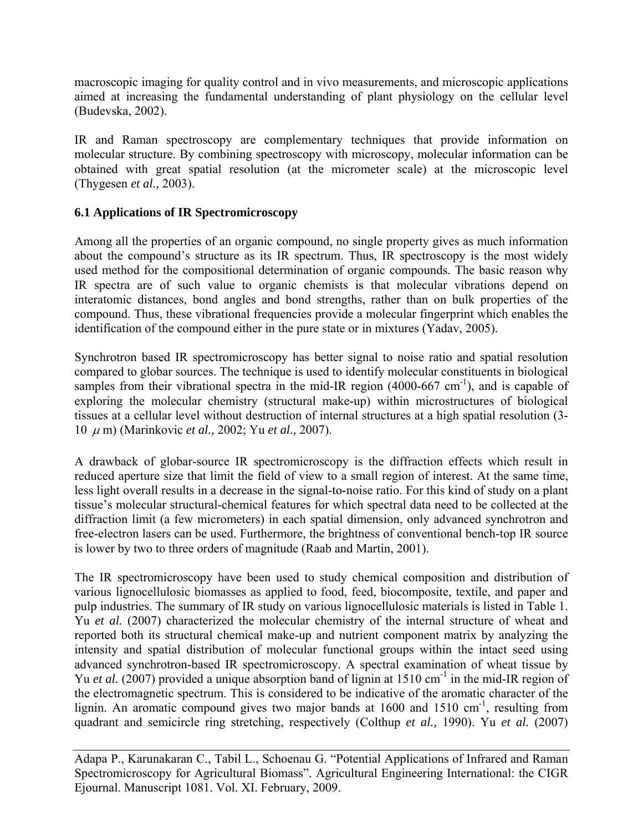macroscopic imaging for quality control and in vivo measurements, and microscopic applications aimed at increasing the fundamental understanding of plant physiology on the cellular level (Budevska, 2002).

IR and Raman spectroscopy are complementary techniques that provide information on molecular structure. By combining spectroscopy with microscopy, molecular information can be obtained with great spatial resolution (at the micrometer scale) at the microscopic level (Thygesen *et al.,* 2003).

# **6.1 Applications of IR Spectromicroscopy**

Among all the properties of an organic compound, no single property gives as much information about the compound's structure as its IR spectrum. Thus, IR spectroscopy is the most widely used method for the compositional determination of organic compounds. The basic reason why IR spectra are of such value to organic chemists is that molecular vibrations depend on interatomic distances, bond angles and bond strengths, rather than on bulk properties of the compound. Thus, these vibrational frequencies provide a molecular fingerprint which enables the identification of the compound either in the pure state or in mixtures (Yadav, 2005).

Synchrotron based IR spectromicroscopy has better signal to noise ratio and spatial resolution compared to globar sources. The technique is used to identify molecular constituents in biological samples from their vibrational spectra in the mid-IR region  $(4000-667 \text{ cm}^{-1})$ , and is capable of exploring the molecular chemistry (structural make-up) within microstructures of biological tissues at a cellular level without destruction of internal structures at a high spatial resolution (3- 10 <sup>μ</sup> m) (Marinkovic *et al.,* 2002; Yu *et al.,* 2007).

A drawback of globar-source IR spectromicroscopy is the diffraction effects which result in reduced aperture size that limit the field of view to a small region of interest. At the same time, less light overall results in a decrease in the signal-to-noise ratio. For this kind of study on a plant tissue's molecular structural-chemical features for which spectral data need to be collected at the diffraction limit (a few micrometers) in each spatial dimension, only advanced synchrotron and free-electron lasers can be used. Furthermore, the brightness of conventional bench-top IR source is lower by two to three orders of magnitude (Raab and Martin, 2001).

The IR spectromicroscopy have been used to study chemical composition and distribution of various lignocellulosic biomasses as applied to food, feed, biocomposite, textile, and paper and pulp industries. The summary of IR study on various lignocellulosic materials is listed in Table 1. Yu *et al.* (2007) characterized the molecular chemistry of the internal structure of wheat and reported both its structural chemical make-up and nutrient component matrix by analyzing the intensity and spatial distribution of molecular functional groups within the intact seed using advanced synchrotron-based IR spectromicroscopy. A spectral examination of wheat tissue by Yu *et al.* (2007) provided a unique absorption band of lignin at 1510 cm<sup>-1</sup> in the mid-IR region of the electromagnetic spectrum. This is considered to be indicative of the aromatic character of the lignin. An aromatic compound gives two major bands at  $1600$  and  $1510 \text{ cm}^{-1}$ , resulting from quadrant and semicircle ring stretching, respectively (Colthup *et al.,* 1990). Yu *et al.* (2007)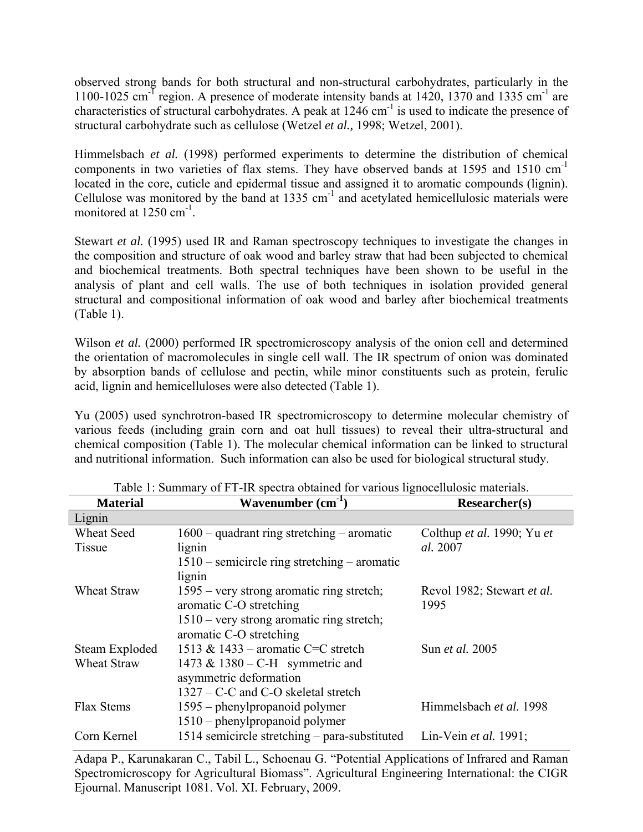observed strong bands for both structural and non-structural carbohydrates, particularly in the 1100-1025 cm<sup>-T</sup> region. A presence of moderate intensity bands at  $1420$ ,  $1370$  and  $1335$  cm<sup>-1</sup> are characteristics of structural carbohydrates. A peak at  $1246 \text{ cm}^{-1}$  is used to indicate the presence of structural carbohydrate such as cellulose (Wetzel *et al.,* 1998; Wetzel, 2001).

Himmelsbach *et al.* (1998) performed experiments to determine the distribution of chemical components in two varieties of flax stems. They have observed bands at 1595 and 1510  $cm^{-1}$ located in the core, cuticle and epidermal tissue and assigned it to aromatic compounds (lignin). Cellulose was monitored by the band at  $1335 \text{ cm}^{-1}$  and acetylated hemicellulosic materials were monitored at  $1250 \text{ cm}^{-1}$ .

Stewart *et al.* (1995) used IR and Raman spectroscopy techniques to investigate the changes in the composition and structure of oak wood and barley straw that had been subjected to chemical and biochemical treatments. Both spectral techniques have been shown to be useful in the analysis of plant and cell walls. The use of both techniques in isolation provided general structural and compositional information of oak wood and barley after biochemical treatments (Table 1).

Wilson *et al.* (2000) performed IR spectromicroscopy analysis of the onion cell and determined the orientation of macromolecules in single cell wall. The IR spectrum of onion was dominated by absorption bands of cellulose and pectin, while minor constituents such as protein, ferulic acid, lignin and hemicelluloses were also detected (Table 1).

Yu (2005) used synchrotron-based IR spectromicroscopy to determine molecular chemistry of various feeds (including grain corn and oat hull tissues) to reveal their ultra-structural and chemical composition (Table 1). The molecular chemical information can be linked to structural and nutritional information. Such information can also be used for biological structural study.

| <b>Material</b>    | Wavenumber $(cm-1)$                            | <b>Researcher(s)</b>       |
|--------------------|------------------------------------------------|----------------------------|
| Lignin             |                                                |                            |
| <b>Wheat Seed</b>  | $1600$ – quadrant ring stretching – aromatic   | Colthup et al. 1990; Yu et |
| Tissue             | lignin                                         | al. 2007                   |
|                    | $1510$ – semicircle ring stretching – aromatic |                            |
|                    | lignin                                         |                            |
| Wheat Straw        | 1595 – very strong aromatic ring stretch;      | Revol 1982; Stewart et al. |
|                    | aromatic C-O stretching                        | 1995                       |
|                    | $1510 -$ very strong aromatic ring stretch;    |                            |
|                    | aromatic C-O stretching                        |                            |
| Steam Exploded     | 1513 & 1433 – aromatic C=C stretch             | Sun <i>et al.</i> 2005     |
| <b>Wheat Straw</b> | 1473 & 1380 – C-H symmetric and                |                            |
|                    | asymmetric deformation                         |                            |
|                    | $1327 - C-C$ and C-O skeletal stretch          |                            |
| Flax Stems         | 1595 – phenylpropanoid polymer                 | Himmelsbach et al. 1998    |
|                    | 1510 – phenylpropanoid polymer                 |                            |
| Corn Kernel        | 1514 semicircle stretching - para-substituted  | Lin-Vein et al. 1991;      |

Table 1: Summary of FT-IR spectra obtained for various lignocellulosic materials.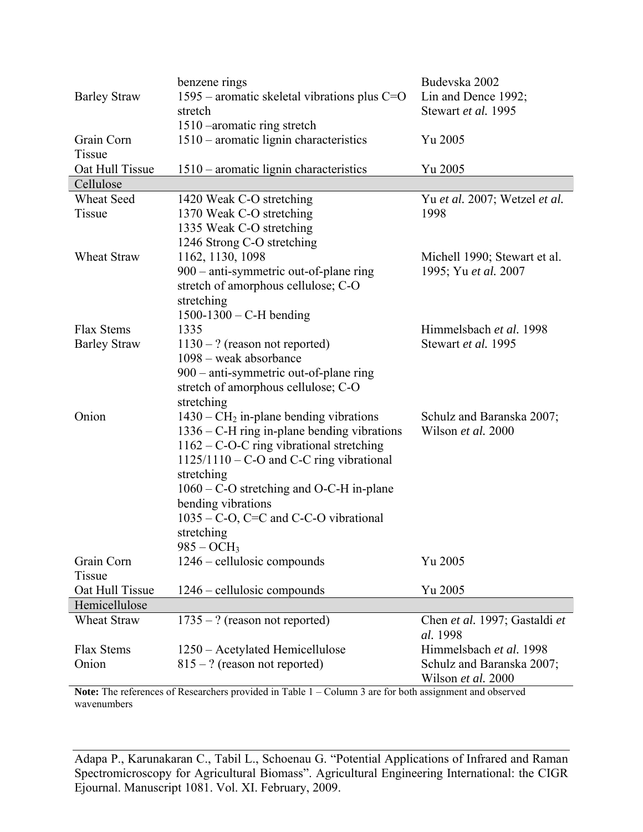|                     | benzene rings                                  | Budevska 2002                                   |  |
|---------------------|------------------------------------------------|-------------------------------------------------|--|
| <b>Barley Straw</b> | 1595 – aromatic skeletal vibrations plus $C=O$ | Lin and Dence 1992;                             |  |
|                     | stretch                                        | Stewart et al. 1995                             |  |
|                     | 1510 – aromatic ring stretch                   |                                                 |  |
| Grain Corn          | $1510$ – aromatic lignin characteristics       | Yu 2005                                         |  |
| Tissue              |                                                |                                                 |  |
| Oat Hull Tissue     | 1510 – aromatic lignin characteristics         | Yu 2005                                         |  |
| Cellulose           |                                                |                                                 |  |
| <b>Wheat Seed</b>   | 1420 Weak C-O stretching                       | Yu et al. 2007; Wetzel et al.                   |  |
| Tissue              | 1370 Weak C-O stretching                       | 1998                                            |  |
|                     | 1335 Weak C-O stretching                       |                                                 |  |
|                     | 1246 Strong C-O stretching                     |                                                 |  |
| Wheat Straw         | 1162, 1130, 1098                               | Michell 1990; Stewart et al.                    |  |
|                     | 900 – anti-symmetric out-of-plane ring         | 1995; Yu et al. 2007                            |  |
|                     | stretch of amorphous cellulose; C-O            |                                                 |  |
|                     | stretching                                     |                                                 |  |
|                     | $1500 - 1300 - C$ -H bending                   |                                                 |  |
| Flax Stems          | 1335                                           | Himmelsbach et al. 1998                         |  |
| <b>Barley Straw</b> | $1130 - ?$ (reason not reported)               | Stewart et al. 1995                             |  |
|                     | 1098 – weak absorbance                         |                                                 |  |
|                     | 900 – anti-symmetric out-of-plane ring         |                                                 |  |
|                     | stretch of amorphous cellulose; C-O            |                                                 |  |
|                     | stretching                                     |                                                 |  |
| Onion               | $1430 - CH2$ in-plane bending vibrations       | Schulz and Baranska 2007;                       |  |
|                     | $1336 - C$ -H ring in-plane bending vibrations | Wilson et al. 2000                              |  |
|                     | 1162 - C-O-C ring vibrational stretching       |                                                 |  |
|                     | $1125/1110 - C-O$ and C-C ring vibrational     |                                                 |  |
|                     | stretching                                     |                                                 |  |
|                     | $1060 - C$ -O stretching and O-C-H in-plane    |                                                 |  |
|                     | bending vibrations                             |                                                 |  |
|                     | $1035 - C$ -O, C=C and C-C-O vibrational       |                                                 |  |
|                     | stretching                                     |                                                 |  |
|                     | $985 - OCH_3$                                  |                                                 |  |
| Grain Corn          | 1246 – cellulosic compounds                    | Yu 2005                                         |  |
| Tissue              |                                                |                                                 |  |
| Oat Hull Tissue     | 1246 – cellulosic compounds                    | Yu 2005                                         |  |
| Hemicellulose       |                                                |                                                 |  |
| Wheat Straw         | $1735 - ?$ (reason not reported)               | Chen et al. 1997; Gastaldi et<br>al. 1998       |  |
| Flax Stems          | 1250 - Acetylated Hemicellulose                | Himmelsbach et al. 1998                         |  |
| Onion               | $815 - ?$ (reason not reported)                | Schulz and Baranska 2007;<br>Wilson et al. 2000 |  |

Note: The references of Researchers provided in Table 1 – Column 3 are for both assignment and observed wavenumbers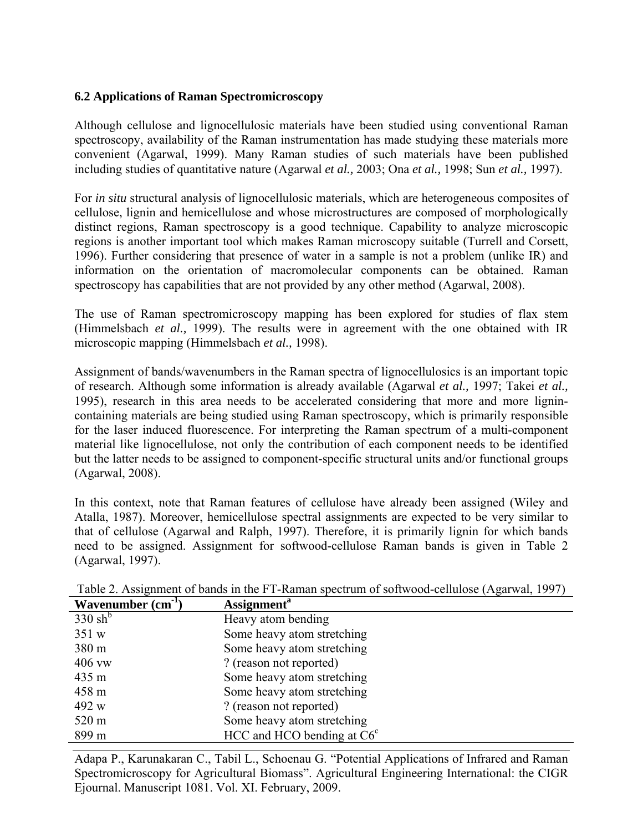## **6.2 Applications of Raman Spectromicroscopy**

Although cellulose and lignocellulosic materials have been studied using conventional Raman spectroscopy, availability of the Raman instrumentation has made studying these materials more convenient (Agarwal, 1999). Many Raman studies of such materials have been published including studies of quantitative nature (Agarwal *et al.,* 2003; Ona *et al.,* 1998; Sun *et al.,* 1997).

For *in situ* structural analysis of lignocellulosic materials, which are heterogeneous composites of cellulose, lignin and hemicellulose and whose microstructures are composed of morphologically distinct regions, Raman spectroscopy is a good technique. Capability to analyze microscopic regions is another important tool which makes Raman microscopy suitable (Turrell and Corsett, 1996). Further considering that presence of water in a sample is not a problem (unlike IR) and information on the orientation of macromolecular components can be obtained. Raman spectroscopy has capabilities that are not provided by any other method (Agarwal, 2008).

The use of Raman spectromicroscopy mapping has been explored for studies of flax stem (Himmelsbach *et al.,* 1999). The results were in agreement with the one obtained with IR microscopic mapping (Himmelsbach *et al.,* 1998).

Assignment of bands/wavenumbers in the Raman spectra of lignocellulosics is an important topic of research. Although some information is already available (Agarwal *et al.,* 1997; Takei *et al.,* 1995), research in this area needs to be accelerated considering that more and more lignincontaining materials are being studied using Raman spectroscopy, which is primarily responsible for the laser induced fluorescence. For interpreting the Raman spectrum of a multi-component material like lignocellulose, not only the contribution of each component needs to be identified but the latter needs to be assigned to component-specific structural units and/or functional groups (Agarwal, 2008).

In this context, note that Raman features of cellulose have already been assigned (Wiley and Atalla, 1987). Moreover, hemicellulose spectral assignments are expected to be very similar to that of cellulose (Agarwal and Ralph, 1997). Therefore, it is primarily lignin for which bands need to be assigned. Assignment for softwood-cellulose Raman bands is given in Table 2 (Agarwal, 1997).

| Wavenumber $(cm-1)$ | <b>Assignment</b> <sup>a</sup> |
|---------------------|--------------------------------|
| $330 \text{ sh}^b$  | Heavy atom bending             |
| 351 w               | Some heavy atom stretching     |
| 380 m               | Some heavy atom stretching     |
| $406$ vw            | ? (reason not reported)        |
| 435 m               | Some heavy atom stretching     |
| 458 m               | Some heavy atom stretching     |
| 492 w               | ? (reason not reported)        |
| 520 m               | Some heavy atom stretching     |
| 899 m               | HCC and HCO bending at $C6c$   |

Table 2. Assignment of bands in the FT-Raman spectrum of softwood-cellulose (Agarwal, 1997)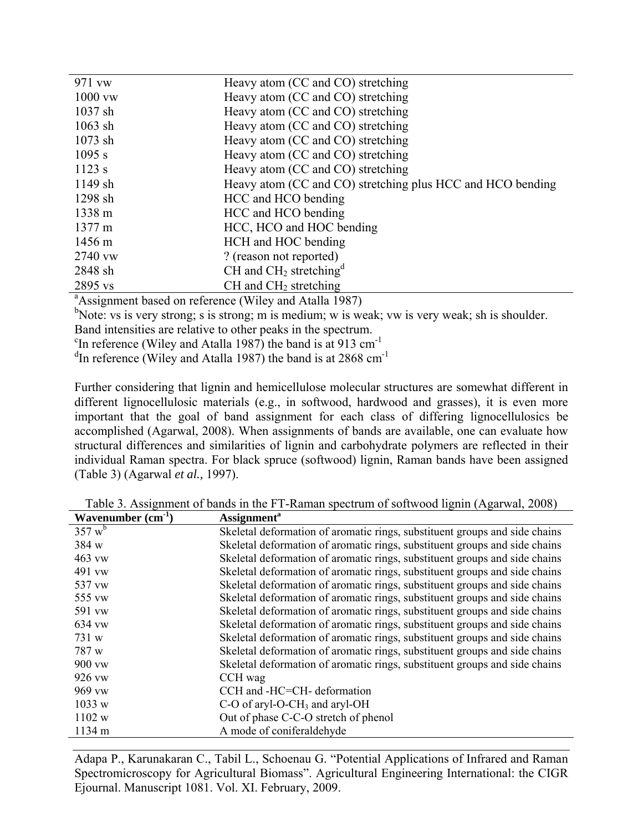| 971 vw                                                             | Heavy atom (CC and CO) stretching                          |  |
|--------------------------------------------------------------------|------------------------------------------------------------|--|
| $1000$ vw                                                          | Heavy atom (CC and CO) stretching                          |  |
| $1037$ sh                                                          | Heavy atom (CC and CO) stretching                          |  |
| $1063$ sh                                                          | Heavy atom (CC and CO) stretching                          |  |
| $1073$ sh                                                          | Heavy atom (CC and CO) stretching                          |  |
| $1095$ s                                                           | Heavy atom (CC and CO) stretching                          |  |
| $1123$ s                                                           | Heavy atom (CC and CO) stretching                          |  |
| $1149$ sh                                                          | Heavy atom (CC and CO) stretching plus HCC and HCO bending |  |
| $1298$ sh                                                          | HCC and HCO bending                                        |  |
| $1338 \text{ m}$                                                   | HCC and HCO bending                                        |  |
| $1377 \text{ m}$                                                   | HCC, HCO and HOC bending                                   |  |
| $1456 \text{ m}$                                                   | HCH and HOC bending                                        |  |
| 2740 vw                                                            | ? (reason not reported)                                    |  |
| 2848 sh                                                            | CH and $CH2$ stretching <sup>d</sup>                       |  |
| 2895 vs                                                            | $CH$ and $CH2$ stretching                                  |  |
| <sup>a</sup> Assignment based on reference (Wiley and Atalla 1987) |                                                            |  |

<sup>b</sup>Note: vs is very strong; s is strong; m is medium; w is weak; vw is very weak; sh is shoulder.

Band intensities are relative to other peaks in the spectrum.

<sup>c</sup>In reference (Wiley and Atalla 1987) the band is at 913 cm<sup>-1</sup>

 $d$ In reference (Wiley and Atalla 1987) the band is at 2868 cm<sup>-1</sup>

Further considering that lignin and hemicellulose molecular structures are somewhat different in different lignocellulosic materials (e.g., in softwood, hardwood and grasses), it is even more important that the goal of band assignment for each class of differing lignocellulosics be accomplished (Agarwal, 2008). When assignments of bands are available, one can evaluate how structural differences and similarities of lignin and carbohydrate polymers are reflected in their individual Raman spectra. For black spruce (softwood) lignin, Raman bands have been assigned (Table 3) (Agarwal *et al.,* 1997).

Table 3. Assignment of bands in the FT-Raman spectrum of softwood lignin (Agarwal, 2008)

| Wavenumber $(cm^{-1})$ | <b>Assignment</b> <sup>a</sup>                                             |
|------------------------|----------------------------------------------------------------------------|
| 357 w <sup>b</sup>     | Skeletal deformation of aromatic rings, substituent groups and side chains |
| 384 w                  | Skeletal deformation of aromatic rings, substituent groups and side chains |
| 463 vw                 | Skeletal deformation of aromatic rings, substituent groups and side chains |
| 491 vw                 | Skeletal deformation of aromatic rings, substituent groups and side chains |
| 537 vw                 | Skeletal deformation of aromatic rings, substituent groups and side chains |
| 555 vw                 | Skeletal deformation of aromatic rings, substituent groups and side chains |
| 591 vw                 | Skeletal deformation of aromatic rings, substituent groups and side chains |
| 634 vw                 | Skeletal deformation of aromatic rings, substituent groups and side chains |
| 731 w                  | Skeletal deformation of aromatic rings, substituent groups and side chains |
| 787 w                  | Skeletal deformation of aromatic rings, substituent groups and side chains |
| 900 vw                 | Skeletal deformation of aromatic rings, substituent groups and side chains |
| 926 vw                 | CCH wag                                                                    |
| 969 vw                 | CCH and -HC=CH- deformation                                                |
| 1033 w                 | $C-O$ of aryl-O-CH <sub>3</sub> and aryl-OH                                |
| 1102 w                 | Out of phase C-C-O stretch of phenol                                       |
| 1134 m                 | A mode of coniferal dehyde                                                 |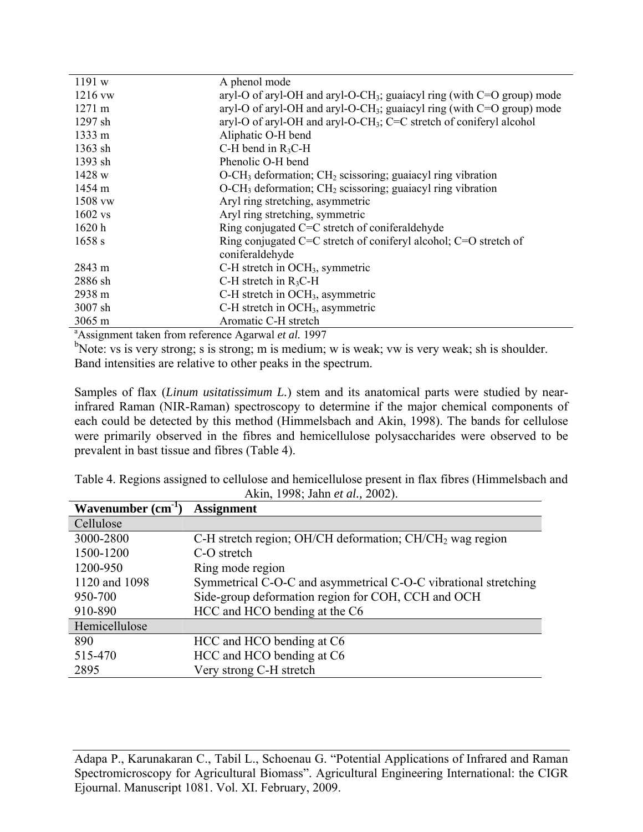| 1191 w                                                           | A phenol mode                                                                        |
|------------------------------------------------------------------|--------------------------------------------------------------------------------------|
| 1216 vw                                                          | aryl-O of aryl-OH and aryl-O-CH <sub>3</sub> ; guaiacyl ring (with $C=O$ group) mode |
| $1271 \text{ m}$                                                 | aryl-O of aryl-OH and aryl-O-CH <sub>3</sub> ; guaiacyl ring (with $C=O$ group) mode |
| $1297$ sh                                                        | aryl-O of aryl-OH and aryl-O-CH <sub>3</sub> ; C=C stretch of coniferyl alcohol      |
| $1333 \; \mathrm{m}$                                             | Aliphatic O-H bend                                                                   |
| 1363 sh                                                          | C-H bend in $R_3C$ -H                                                                |
| 1393 sh                                                          | Phenolic O-H bend                                                                    |
| 1428 w                                                           | O-CH <sub>3</sub> deformation; CH <sub>2</sub> scissoring; guaiacyl ring vibration   |
| 1454 m                                                           | $O-CH3$ deformation; $CH2$ scissoring; guaiacyl ring vibration                       |
| 1508 vw                                                          | Aryl ring stretching, asymmetric                                                     |
| $1602$ vs                                                        | Aryl ring stretching, symmetric                                                      |
| 1620 h                                                           | Ring conjugated $C=C$ stretch of coniferal dehyde                                    |
| 1658 s                                                           | Ring conjugated C=C stretch of coniferyl alcohol; $C=O$ stretch of                   |
|                                                                  | coniferaldehyde                                                                      |
| 2843 m                                                           | C-H stretch in OCH <sub>3</sub> , symmetric                                          |
| 2886 sh                                                          | C-H stretch in $R_3C$ -H                                                             |
| 2938 m                                                           | C-H stretch in OCH <sub>3</sub> , asymmetric                                         |
| 3007 sh                                                          | C-H stretch in OCH <sub>3</sub> , asymmetric                                         |
| 3065 m                                                           | Aromatic C-H stretch                                                                 |
| <sup>a</sup> Assignment taken from reference Agarwal et al. 1997 |                                                                                      |

b<sub>Note: vs is very strong; s is strong; m is medium; w is weak; vw is very weak; sh is shoulder.</sub> Band intensities are relative to other peaks in the spectrum.

Samples of flax (*Linum usitatissimum L.*) stem and its anatomical parts were studied by nearinfrared Raman (NIR-Raman) spectroscopy to determine if the major chemical components of each could be detected by this method (Himmelsbach and Akin, 1998). The bands for cellulose were primarily observed in the fibres and hemicellulose polysaccharides were observed to be prevalent in bast tissue and fibres (Table 4).

| Table 4. Regions assigned to cellulose and hemicellulose present in flax fibres (Himmelsbach and |                                 |  |  |
|--------------------------------------------------------------------------------------------------|---------------------------------|--|--|
|                                                                                                  | Akin, 1998; Jahn et al., 2002). |  |  |

| Wavenumber $(cm-1)$ | <b>Assignment</b>                                               |
|---------------------|-----------------------------------------------------------------|
| Cellulose           |                                                                 |
| 3000-2800           | C-H stretch region; OH/CH deformation; $CH/CH2$ wag region      |
| 1500-1200           | C-O stretch                                                     |
| 1200-950            | Ring mode region                                                |
| 1120 and 1098       | Symmetrical C-O-C and asymmetrical C-O-C vibrational stretching |
| 950-700             | Side-group deformation region for COH, CCH and OCH              |
| 910-890             | HCC and HCO bending at the C6                                   |
| Hemicellulose       |                                                                 |
| 890                 | HCC and HCO bending at C6                                       |
| 515-470             | HCC and HCO bending at C6                                       |
| 2895                | Very strong C-H stretch                                         |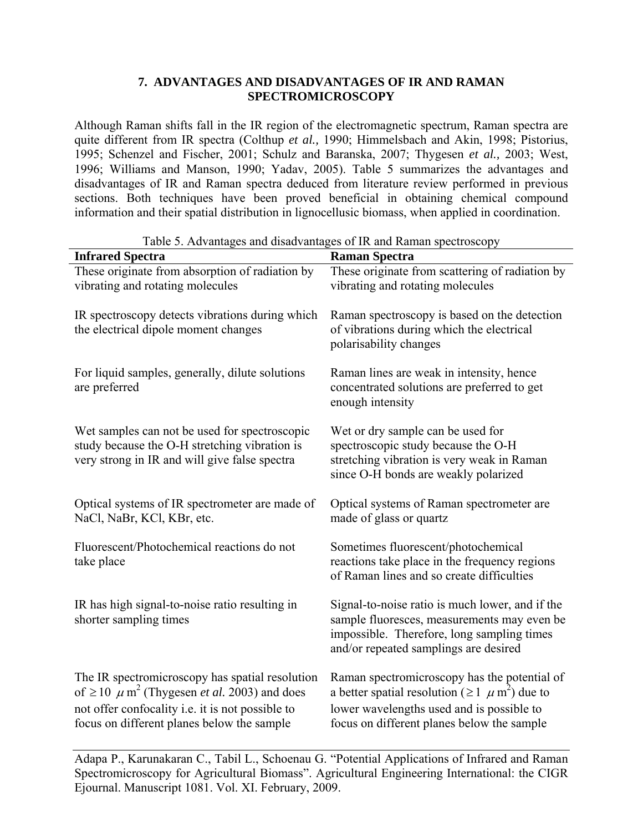# **7. ADVANTAGES AND DISADVANTAGES OF IR AND RAMAN SPECTROMICROSCOPY**

Although Raman shifts fall in the IR region of the electromagnetic spectrum, Raman spectra are quite different from IR spectra (Colthup *et al.,* 1990; Himmelsbach and Akin, 1998; Pistorius, 1995; Schenzel and Fischer, 2001; Schulz and Baranska, 2007; Thygesen *et al.,* 2003; West, 1996; Williams and Manson, 1990; Yadav, 2005). Table 5 summarizes the advantages and disadvantages of IR and Raman spectra deduced from literature review performed in previous sections. Both techniques have been proved beneficial in obtaining chemical compound information and their spatial distribution in lignocellusic biomass, when applied in coordination.

| <b>Infrared Spectra</b>                                                                                                                                                                                                       | <b>Raman Spectra</b>                                                                                                                                                                                            |
|-------------------------------------------------------------------------------------------------------------------------------------------------------------------------------------------------------------------------------|-----------------------------------------------------------------------------------------------------------------------------------------------------------------------------------------------------------------|
| These originate from absorption of radiation by<br>vibrating and rotating molecules                                                                                                                                           | These originate from scattering of radiation by<br>vibrating and rotating molecules                                                                                                                             |
| IR spectroscopy detects vibrations during which<br>the electrical dipole moment changes                                                                                                                                       | Raman spectroscopy is based on the detection<br>of vibrations during which the electrical<br>polarisability changes                                                                                             |
| For liquid samples, generally, dilute solutions<br>are preferred                                                                                                                                                              | Raman lines are weak in intensity, hence<br>concentrated solutions are preferred to get<br>enough intensity                                                                                                     |
| Wet samples can not be used for spectroscopic<br>study because the O-H stretching vibration is<br>very strong in IR and will give false spectra                                                                               | Wet or dry sample can be used for<br>spectroscopic study because the O-H<br>stretching vibration is very weak in Raman<br>since O-H bonds are weakly polarized                                                  |
| Optical systems of IR spectrometer are made of<br>NaCl, NaBr, KCl, KBr, etc.                                                                                                                                                  | Optical systems of Raman spectrometer are<br>made of glass or quartz                                                                                                                                            |
| Fluorescent/Photochemical reactions do not<br>take place                                                                                                                                                                      | Sometimes fluorescent/photochemical<br>reactions take place in the frequency regions<br>of Raman lines and so create difficulties                                                                               |
| IR has high signal-to-noise ratio resulting in<br>shorter sampling times                                                                                                                                                      | Signal-to-noise ratio is much lower, and if the<br>sample fluoresces, measurements may even be<br>impossible. Therefore, long sampling times<br>and/or repeated samplings are desired                           |
| The IR spectromicroscopy has spatial resolution<br>of $\geq$ 10 $\mu$ m <sup>2</sup> (Thygesen <i>et al.</i> 2003) and does<br>not offer confocality i.e. it is not possible to<br>focus on different planes below the sample | Raman spectromicroscopy has the potential of<br>a better spatial resolution ( $\geq 1$ $\mu$ m <sup>2</sup> ) due to<br>lower wavelengths used and is possible to<br>focus on different planes below the sample |

Table 5. Advantages and disadvantages of IR and Raman spectroscopy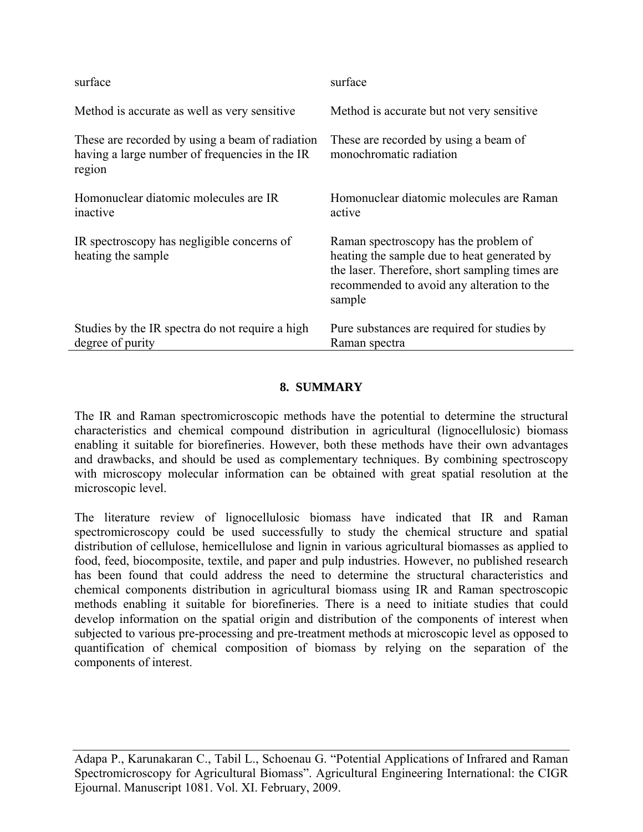| surface                                                                                                     | surface                                                                                                                                                                                        |
|-------------------------------------------------------------------------------------------------------------|------------------------------------------------------------------------------------------------------------------------------------------------------------------------------------------------|
| Method is accurate as well as very sensitive.                                                               | Method is accurate but not very sensitive.                                                                                                                                                     |
| These are recorded by using a beam of radiation<br>having a large number of frequencies in the IR<br>region | These are recorded by using a beam of<br>monochromatic radiation                                                                                                                               |
| Homonuclear diatomic molecules are IR<br>inactive                                                           | Homonuclear diatomic molecules are Raman<br>active                                                                                                                                             |
| IR spectroscopy has negligible concerns of<br>heating the sample                                            | Raman spectroscopy has the problem of<br>heating the sample due to heat generated by<br>the laser. Therefore, short sampling times are<br>recommended to avoid any alteration to the<br>sample |
| Studies by the IR spectra do not require a high<br>degree of purity                                         | Pure substances are required for studies by<br>Raman spectra                                                                                                                                   |

# **8. SUMMARY**

The IR and Raman spectromicroscopic methods have the potential to determine the structural characteristics and chemical compound distribution in agricultural (lignocellulosic) biomass enabling it suitable for biorefineries. However, both these methods have their own advantages and drawbacks, and should be used as complementary techniques. By combining spectroscopy with microscopy molecular information can be obtained with great spatial resolution at the microscopic level.

The literature review of lignocellulosic biomass have indicated that IR and Raman spectromicroscopy could be used successfully to study the chemical structure and spatial distribution of cellulose, hemicellulose and lignin in various agricultural biomasses as applied to food, feed, biocomposite, textile, and paper and pulp industries. However, no published research has been found that could address the need to determine the structural characteristics and chemical components distribution in agricultural biomass using IR and Raman spectroscopic methods enabling it suitable for biorefineries. There is a need to initiate studies that could develop information on the spatial origin and distribution of the components of interest when subjected to various pre-processing and pre-treatment methods at microscopic level as opposed to quantification of chemical composition of biomass by relying on the separation of the components of interest.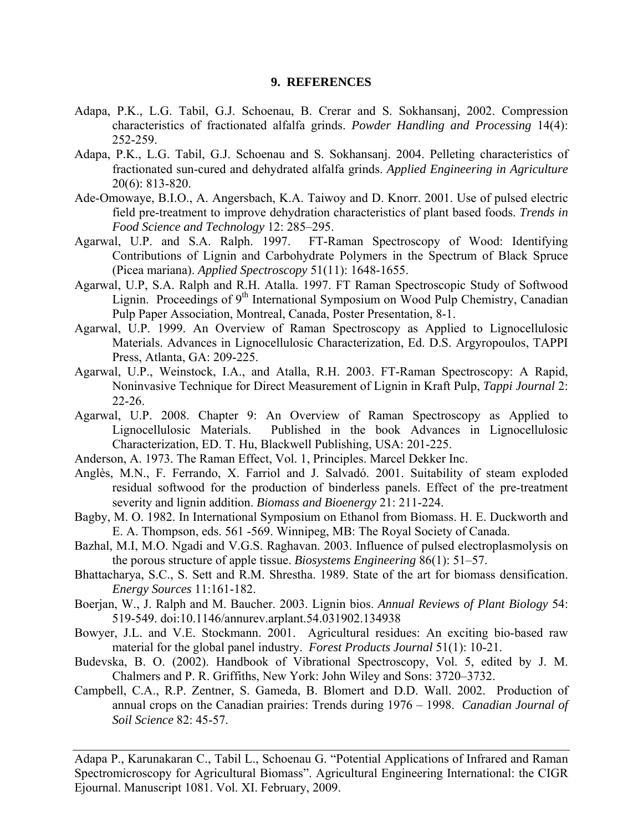#### **9. REFERENCES**

- Adapa, P.K., L.G. Tabil, G.J. Schoenau, B. Crerar and S. Sokhansanj, 2002. Compression characteristics of fractionated alfalfa grinds. *Powder Handling and Processing* 14(4): 252-259.
- Adapa, P.K., L.G. Tabil, G.J. Schoenau and S. Sokhansanj. 2004. Pelleting characteristics of fractionated sun-cured and dehydrated alfalfa grinds. *Applied Engineering in Agriculture*  20(6): 813-820.
- Ade-Omowaye, B.I.O., A. Angersbach, K.A. Taiwoy and D. Knorr. 2001. Use of pulsed electric field pre-treatment to improve dehydration characteristics of plant based foods. *Trends in Food Science and Technology* 12: 285–295.
- Agarwal, U.P. and S.A. Ralph. 1997. FT-Raman Spectroscopy of Wood: Identifying Contributions of Lignin and Carbohydrate Polymers in the Spectrum of Black Spruce (Picea mariana). *Applied Spectroscopy* 51(11): 1648-1655.
- Agarwal, U.P, S.A. Ralph and R.H. Atalla. 1997. FT Raman Spectroscopic Study of Softwood Lignin. Proceedings of 9<sup>th</sup> International Symposium on Wood Pulp Chemistry, Canadian Pulp Paper Association, Montreal, Canada, Poster Presentation, 8-1.
- Agarwal, U.P. 1999. An Overview of Raman Spectroscopy as Applied to Lignocellulosic Materials. Advances in Lignocellulosic Characterization, Ed. D.S. Argyropoulos, TAPPI Press, Atlanta, GA: 209-225.
- Agarwal, U.P., Weinstock, I.A., and Atalla, R.H. 2003. FT-Raman Spectroscopy: A Rapid, Noninvasive Technique for Direct Measurement of Lignin in Kraft Pulp, *Tappi Journal* 2: 22-26.
- Agarwal, U.P. 2008. Chapter 9: An Overview of Raman Spectroscopy as Applied to Lignocellulosic Materials. Published in the book Advances in Lignocellulosic Characterization, ED. T. Hu, Blackwell Publishing, USA: 201-225.
- Anderson, A. 1973. The Raman Effect, Vol. 1, Principles. Marcel Dekker Inc.
- Anglès, M.N., F. Ferrando, X. Farriol and J. Salvadó. 2001. Suitability of steam exploded residual softwood for the production of binderless panels. Effect of the pre-treatment severity and lignin addition. *Biomass and Bioenergy* 21: 211-224.
- Bagby, M. O. 1982. In International Symposium on Ethanol from Biomass. H. E. Duckworth and E. A. Thompson, eds. 561 -569. Winnipeg, MB: The Royal Society of Canada.
- Bazhal, M.I, M.O. Ngadi and V.G.S. Raghavan. 2003. Influence of pulsed electroplasmolysis on the porous structure of apple tissue. *Biosystems Engineering* 86(1): 51–57.
- Bhattacharya, S.C., S. Sett and R.M. Shrestha. 1989. State of the art for biomass densification. *Energy Sources* 11:161-182.
- Boerjan, W., J. Ralph and M. Baucher. 2003. Lignin bios. *Annual Reviews of Plant Biology* 54: 519-549. doi:10.1146/annurev.arplant.54.031902.134938
- Bowyer, J.L. and V.E. Stockmann. 2001. Agricultural residues: An exciting bio-based raw material for the global panel industry. *Forest Products Journal* 51(1): 10-21.
- Budevska, B. O. (2002). Handbook of Vibrational Spectroscopy, Vol. 5, edited by J. M. Chalmers and P. R. Griffiths, New York: John Wiley and Sons: 3720–3732.
- Campbell, C.A., R.P. Zentner, S. Gameda, B. Blomert and D.D. Wall. 2002. Production of annual crops on the Canadian prairies: Trends during 1976 – 1998. *Canadian Journal of Soil Science* 82: 45-57.

Adapa P., Karunakaran C., Tabil L., Schoenau G. "Potential Applications of Infrared and Raman Spectromicroscopy for Agricultural Biomass". Agricultural Engineering International: the CIGR Ejournal. Manuscript 1081. Vol. XI. February, 2009.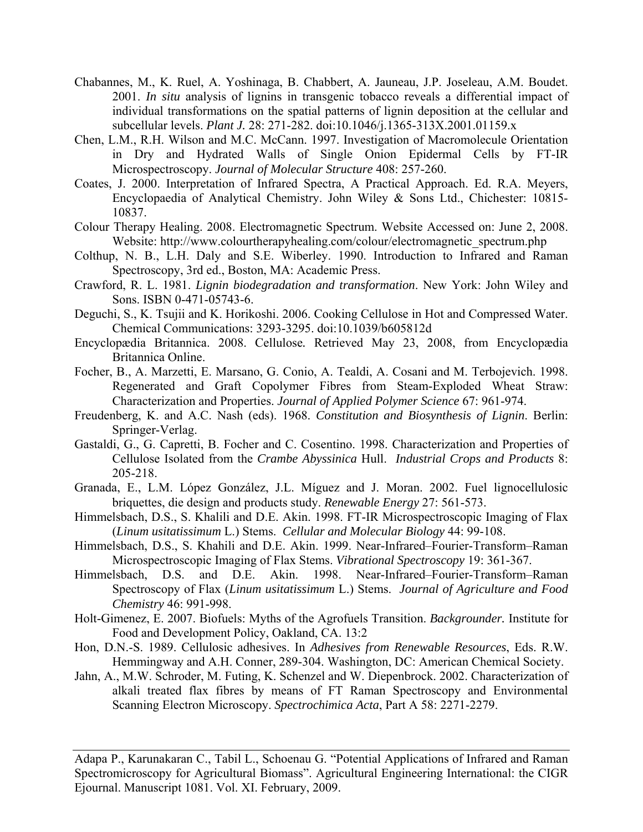- Chabannes, M., K. Ruel, A. Yoshinaga, B. Chabbert, A. Jauneau, J.P. Joseleau, A.M. Boudet. 2001. *In situ* analysis of lignins in transgenic tobacco reveals a differential impact of individual transformations on the spatial patterns of lignin deposition at the cellular and subcellular levels. *Plant J.* 28: 271-282. doi:10.1046/j.1365-313X.2001.01159.x
- Chen, L.M., R.H. Wilson and M.C. McCann. 1997. Investigation of Macromolecule Orientation in Dry and Hydrated Walls of Single Onion Epidermal Cells by FT-IR Microspectroscopy. *Journal of Molecular Structure* 408: 257-260.
- Coates, J. 2000. Interpretation of Infrared Spectra, A Practical Approach. Ed. R.A. Meyers, Encyclopaedia of Analytical Chemistry. John Wiley & Sons Ltd., Chichester: 10815- 10837.
- Colour Therapy Healing. 2008. Electromagnetic Spectrum. Website Accessed on: June 2, 2008. Website: http://www.colourtherapyhealing.com/colour/electromagnetic\_spectrum.php
- Colthup, N. B., L.H. Daly and S.E. Wiberley. 1990. Introduction to Infrared and Raman Spectroscopy, 3rd ed., Boston, MA: Academic Press.
- Crawford, R. L. 1981. *Lignin biodegradation and transformation*. New York: John Wiley and Sons. ISBN 0-471-05743-6.
- Deguchi, S., K. Tsujii and K. Horikoshi. 2006. Cooking Cellulose in Hot and Compressed Water. Chemical Communications: 3293-3295. doi:10.1039/b605812d
- Encyclopædia Britannica. 2008. Cellulose*.* Retrieved May 23, 2008, from Encyclopædia Britannica Online.
- Focher, B., A. Marzetti, E. Marsano, G. Conio, A. Tealdi, A. Cosani and M. Terbojevich. 1998. Regenerated and Graft Copolymer Fibres from Steam-Exploded Wheat Straw: Characterization and Properties. *Journal of Applied Polymer Science* 67: 961-974.
- Freudenberg, K. and A.C. Nash (eds). 1968. *Constitution and Biosynthesis of Lignin*. Berlin: Springer-Verlag.
- Gastaldi, G., G. Capretti, B. Focher and C. Cosentino. 1998. Characterization and Properties of Cellulose Isolated from the *Crambe Abyssinica* Hull. *Industrial Crops and Products* 8: 205-218.
- Granada, E., L.M. López González, J.L. Míguez and J. Moran. 2002. Fuel lignocellulosic briquettes, die design and products study. *Renewable Energy* 27: 561-573.
- Himmelsbach, D.S., S. Khalili and D.E. Akin. 1998. FT-IR Microspectroscopic Imaging of Flax (*Linum usitatissimum* L.) Stems. *Cellular and Molecular Biology* 44: 99-108.
- Himmelsbach, D.S., S. Khahili and D.E. Akin. 1999. Near-Infrared–Fourier-Transform–Raman Microspectroscopic Imaging of Flax Stems. *Vibrational Spectroscopy* 19: 361-367.
- Himmelsbach, D.S. and D.E. Akin. 1998. Near-Infrared–Fourier-Transform–Raman Spectroscopy of Flax (*Linum usitatissimum* L.) Stems. *Journal of Agriculture and Food Chemistry* 46: 991-998.
- Holt-Gimenez, E. 2007. Biofuels: Myths of the Agrofuels Transition. *Backgrounder.* Institute for Food and Development Policy, Oakland, CA. 13:2
- Hon, D.N.-S. 1989. Cellulosic adhesives. In *Adhesives from Renewable Resources*, Eds. R.W. Hemmingway and A.H. Conner, 289-304. Washington, DC: American Chemical Society.
- Jahn, A., M.W. Schroder, M. Futing, K. Schenzel and W. Diepenbrock. 2002. Characterization of alkali treated flax fibres by means of FT Raman Spectroscopy and Environmental Scanning Electron Microscopy. *Spectrochimica Acta*, Part A 58: 2271-2279.

Adapa P., Karunakaran C., Tabil L., Schoenau G. "Potential Applications of Infrared and Raman Spectromicroscopy for Agricultural Biomass". Agricultural Engineering International: the CIGR Ejournal. Manuscript 1081. Vol. XI. February, 2009.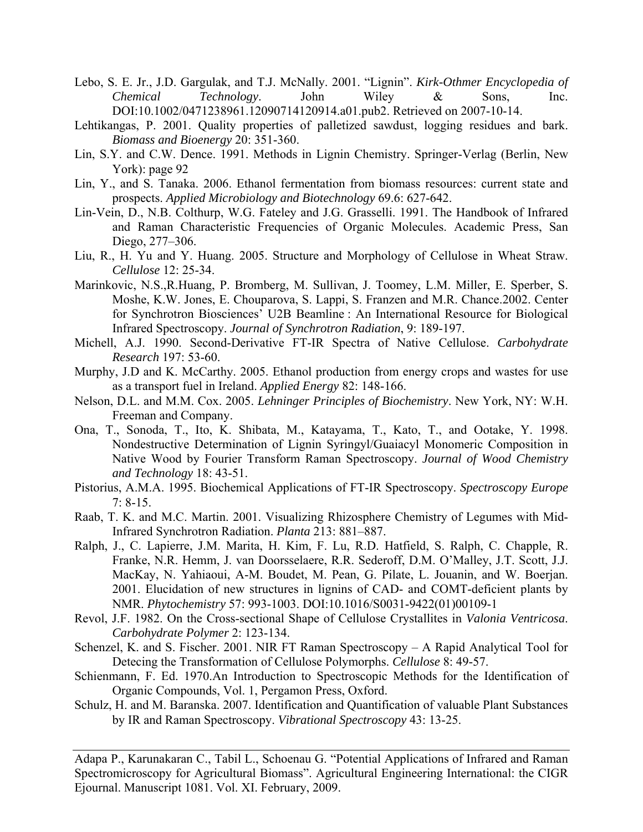- Lebo, S. E. Jr., J.D. Gargulak, and T.J. McNally. 2001. "Lignin". *Kirk-Othmer Encyclopedia of Chemical Technology*. John Wiley & Sons, Inc. DOI:10.1002/0471238961.12090714120914.a01.pub2. Retrieved on 2007-10-14.
- Lehtikangas, P. 2001. Quality properties of palletized sawdust, logging residues and bark. *Biomass and Bioenergy* 20: 351-360.
- Lin, S.Y. and C.W. Dence. 1991. Methods in Lignin Chemistry. Springer-Verlag (Berlin, New York): page 92
- Lin, Y., and S. Tanaka. 2006. Ethanol fermentation from biomass resources: current state and prospects. *Applied Microbiology and Biotechnology* 69.6: 627-642.
- Lin-Vein, D., N.B. Colthurp, W.G. Fateley and J.G. Grasselli. 1991. The Handbook of Infrared and Raman Characteristic Frequencies of Organic Molecules. Academic Press, San Diego, 277–306.
- Liu, R., H. Yu and Y. Huang. 2005. Structure and Morphology of Cellulose in Wheat Straw. *Cellulose* 12: 25-34.
- Marinkovic, N.S.,R.Huang, P. Bromberg, M. Sullivan, J. Toomey, L.M. Miller, E. Sperber, S. Moshe, K.W. Jones, E. Chouparova, S. Lappi, S. Franzen and M.R. Chance.2002. Center for Synchrotron Biosciences' U2B Beamline : An International Resource for Biological Infrared Spectroscopy. *Journal of Synchrotron Radiation*, 9: 189-197.
- Michell, A.J. 1990. Second-Derivative FT-IR Spectra of Native Cellulose. *Carbohydrate Research* 197: 53-60.
- Murphy, J.D and K. McCarthy. 2005. Ethanol production from energy crops and wastes for use as a transport fuel in Ireland. *Applied Energy* 82: 148-166.
- Nelson, D.L. and M.M. Cox. 2005. *Lehninger Principles of Biochemistry*. New York, NY: W.H. Freeman and Company.
- Ona, T., Sonoda, T., Ito, K. Shibata, M., Katayama, T., Kato, T., and Ootake, Y. 1998. Nondestructive Determination of Lignin Syringyl/Guaiacyl Monomeric Composition in Native Wood by Fourier Transform Raman Spectroscopy. *Journal of Wood Chemistry and Technology* 18: 43-51.
- Pistorius, A.M.A. 1995. Biochemical Applications of FT-IR Spectroscopy. *Spectroscopy Europe* 7: 8-15.
- Raab, T. K. and M.C. Martin. 2001. Visualizing Rhizosphere Chemistry of Legumes with Mid-Infrared Synchrotron Radiation. *Planta* 213: 881–887.
- Ralph, J., C. Lapierre, J.M. Marita, H. Kim, F. Lu, R.D. Hatfield, S. Ralph, C. Chapple, R. Franke, N.R. Hemm, J. van Doorsselaere, R.R. Sederoff, D.M. O'Malley, J.T. Scott, J.J. MacKay, N. Yahiaoui, A-M. Boudet, M. Pean, G. Pilate, L. Jouanin, and W. Boerjan. 2001. Elucidation of new structures in lignins of CAD- and COMT-deficient plants by NMR. *Phytochemistry* 57: 993-1003. DOI:10.1016/S0031-9422(01)00109-1
- Revol, J.F. 1982. On the Cross-sectional Shape of Cellulose Crystallites in *Valonia Ventricosa*. *Carbohydrate Polymer* 2: 123-134.
- Schenzel, K. and S. Fischer. 2001. NIR FT Raman Spectroscopy A Rapid Analytical Tool for Detecing the Transformation of Cellulose Polymorphs. *Cellulose* 8: 49-57.
- Schienmann, F. Ed. 1970.An Introduction to Spectroscopic Methods for the Identification of Organic Compounds, Vol. 1, Pergamon Press, Oxford.
- Schulz, H. and M. Baranska. 2007. Identification and Quantification of valuable Plant Substances by IR and Raman Spectroscopy. *Vibrational Spectroscopy* 43: 13-25.

Adapa P., Karunakaran C., Tabil L., Schoenau G. "Potential Applications of Infrared and Raman Spectromicroscopy for Agricultural Biomass". Agricultural Engineering International: the CIGR Ejournal. Manuscript 1081. Vol. XI. February, 2009.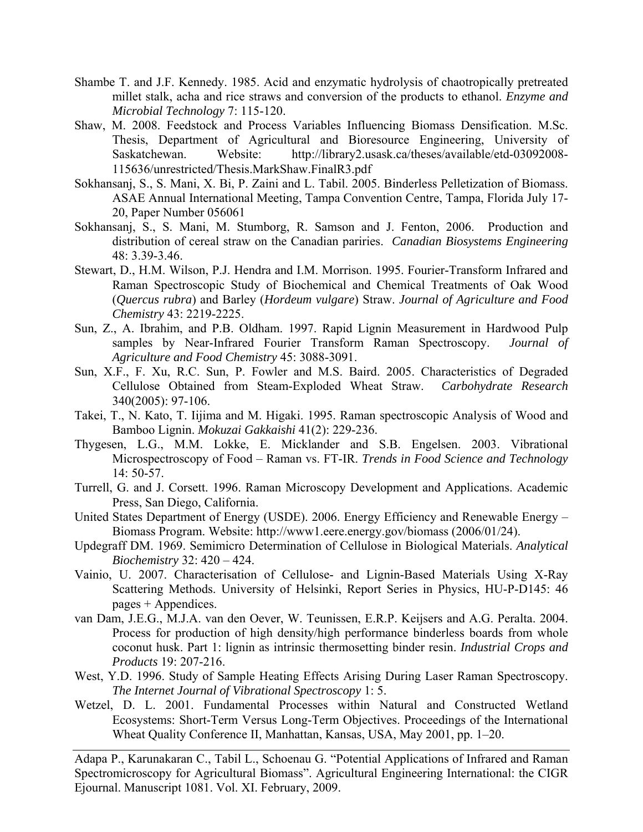- Shambe T. and J.F. Kennedy. 1985. Acid and enzymatic hydrolysis of chaotropically pretreated millet stalk, acha and rice straws and conversion of the products to ethanol. *Enzyme and Microbial Technology* 7: 115-120.
- Shaw, M. 2008. Feedstock and Process Variables Influencing Biomass Densification. M.Sc. Thesis, Department of Agricultural and Bioresource Engineering, University of Saskatchewan. Website: http://library2.usask.ca/theses/available/etd-03092008- 115636/unrestricted/Thesis.MarkShaw.FinalR3.pdf
- Sokhansanj, S., S. Mani, X. Bi, P. Zaini and L. Tabil. 2005. Binderless Pelletization of Biomass. ASAE Annual International Meeting, Tampa Convention Centre, Tampa, Florida July 17- 20, Paper Number 056061
- Sokhansanj, S., S. Mani, M. Stumborg, R. Samson and J. Fenton, 2006. Production and distribution of cereal straw on the Canadian pariries. *Canadian Biosystems Engineering* 48: 3.39-3.46.
- Stewart, D., H.M. Wilson, P.J. Hendra and I.M. Morrison. 1995. Fourier-Transform Infrared and Raman Spectroscopic Study of Biochemical and Chemical Treatments of Oak Wood (*Quercus rubra*) and Barley (*Hordeum vulgare*) Straw. *Journal of Agriculture and Food Chemistry* 43: 2219-2225.
- Sun, Z., A. Ibrahim, and P.B. Oldham. 1997. Rapid Lignin Measurement in Hardwood Pulp samples by Near-Infrared Fourier Transform Raman Spectroscopy. *Journal of Agriculture and Food Chemistry* 45: 3088-3091.
- Sun, X.F., F. Xu, R.C. Sun, P. Fowler and M.S. Baird. 2005. Characteristics of Degraded Cellulose Obtained from Steam-Exploded Wheat Straw. *Carbohydrate Research* 340(2005): 97-106.
- Takei, T., N. Kato, T. Iijima and M. Higaki. 1995. Raman spectroscopic Analysis of Wood and Bamboo Lignin. *Mokuzai Gakkaishi* 41(2): 229-236.
- Thygesen, L.G., M.M. Lokke, E. Micklander and S.B. Engelsen. 2003. Vibrational Microspectroscopy of Food – Raman vs. FT-IR. *Trends in Food Science and Technology* 14: 50-57.
- Turrell, G. and J. Corsett. 1996. Raman Microscopy Development and Applications. Academic Press, San Diego, California.
- United States Department of Energy (USDE). 2006. Energy Efficiency and Renewable Energy Biomass Program. Website: http://www1.eere.energy.gov/biomass (2006/01/24).
- Updegraff DM. 1969. Semimicro Determination of Cellulose in Biological Materials. *Analytical Biochemistry* 32: 420 – 424.
- Vainio, U. 2007. Characterisation of Cellulose- and Lignin-Based Materials Using X-Ray Scattering Methods. University of Helsinki, Report Series in Physics, HU-P-D145: 46 pages + Appendices.
- van Dam, J.E.G., M.J.A. van den Oever, W. Teunissen, E.R.P. Keijsers and A.G. Peralta. 2004. Process for production of high density/high performance binderless boards from whole coconut husk. Part 1: lignin as intrinsic thermosetting binder resin. *Industrial Crops and Products* 19: 207-216.
- West, Y.D. 1996. Study of Sample Heating Effects Arising During Laser Raman Spectroscopy. *The Internet Journal of Vibrational Spectroscopy* 1: 5.
- Wetzel, D. L. 2001. Fundamental Processes within Natural and Constructed Wetland Ecosystems: Short-Term Versus Long-Term Objectives. Proceedings of the International Wheat Quality Conference II, Manhattan, Kansas, USA, May 2001, pp. 1–20.